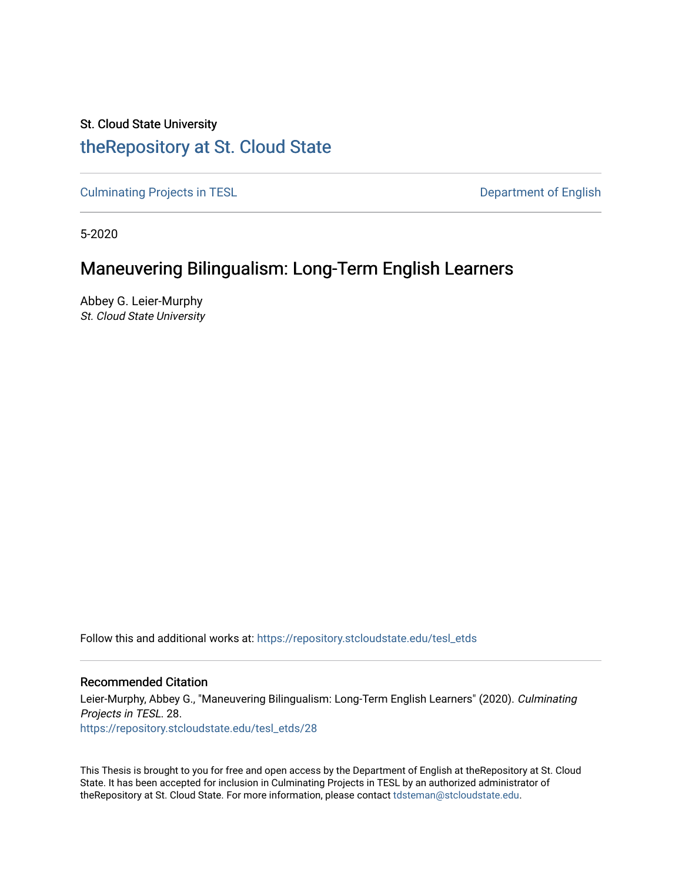# St. Cloud State University [theRepository at St. Cloud State](https://repository.stcloudstate.edu/)

[Culminating Projects in TESL](https://repository.stcloudstate.edu/tesl_etds) **Department of English** 

5-2020

# Maneuvering Bilingualism: Long-Term English Learners

Abbey G. Leier-Murphy St. Cloud State University

Follow this and additional works at: [https://repository.stcloudstate.edu/tesl\\_etds](https://repository.stcloudstate.edu/tesl_etds?utm_source=repository.stcloudstate.edu%2Ftesl_etds%2F28&utm_medium=PDF&utm_campaign=PDFCoverPages) 

### Recommended Citation

Leier-Murphy, Abbey G., "Maneuvering Bilingualism: Long-Term English Learners" (2020). Culminating Projects in TESL. 28. [https://repository.stcloudstate.edu/tesl\\_etds/28](https://repository.stcloudstate.edu/tesl_etds/28?utm_source=repository.stcloudstate.edu%2Ftesl_etds%2F28&utm_medium=PDF&utm_campaign=PDFCoverPages) 

This Thesis is brought to you for free and open access by the Department of English at theRepository at St. Cloud State. It has been accepted for inclusion in Culminating Projects in TESL by an authorized administrator of theRepository at St. Cloud State. For more information, please contact [tdsteman@stcloudstate.edu](mailto:tdsteman@stcloudstate.edu).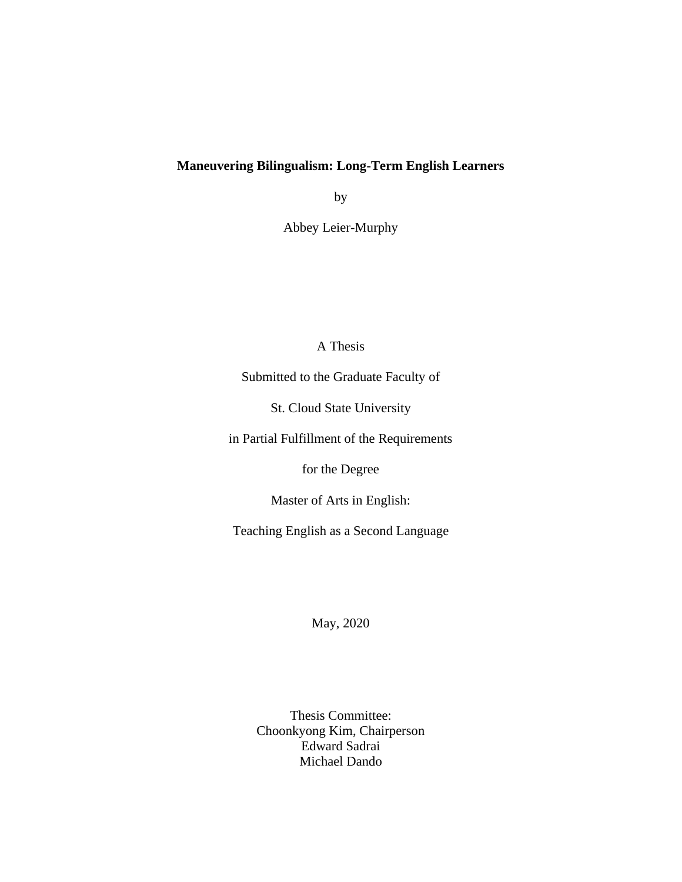## **Maneuvering Bilingualism: Long-Term English Learners**

by

Abbey Leier-Murphy

## A Thesis

Submitted to the Graduate Faculty of

St. Cloud State University

in Partial Fulfillment of the Requirements

for the Degree

Master of Arts in English:

Teaching English as a Second Language

May, 2020

Thesis Committee: Choonkyong Kim, Chairperson Edward Sadrai Michael Dando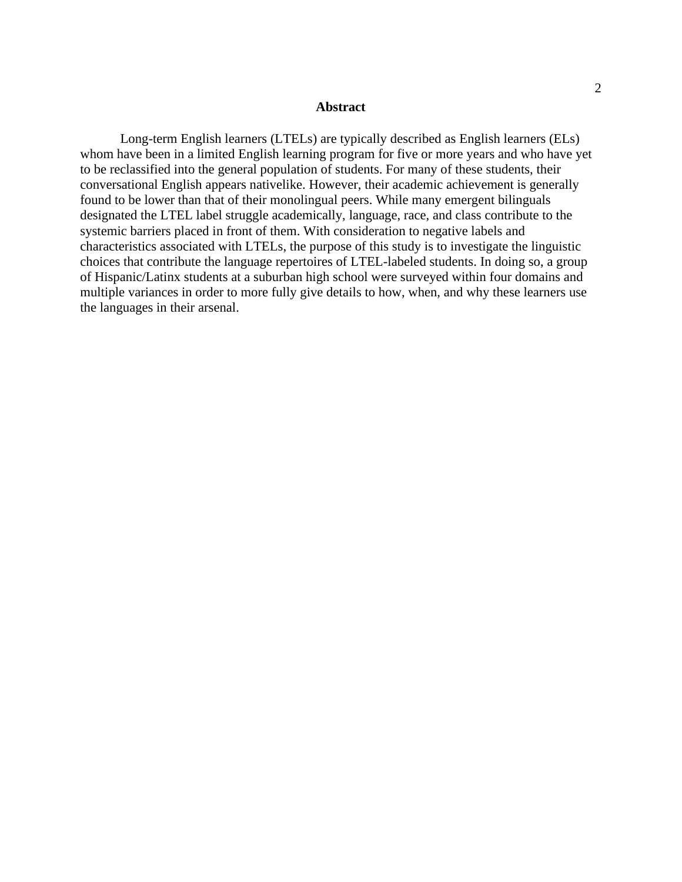#### **Abstract**

Long-term English learners (LTELs) are typically described as English learners (ELs) whom have been in a limited English learning program for five or more years and who have yet to be reclassified into the general population of students. For many of these students, their conversational English appears nativelike. However, their academic achievement is generally found to be lower than that of their monolingual peers. While many emergent bilinguals designated the LTEL label struggle academically, language, race, and class contribute to the systemic barriers placed in front of them. With consideration to negative labels and characteristics associated with LTELs, the purpose of this study is to investigate the linguistic choices that contribute the language repertoires of LTEL-labeled students. In doing so, a group of Hispanic/Latinx students at a suburban high school were surveyed within four domains and multiple variances in order to more fully give details to how, when, and why these learners use the languages in their arsenal.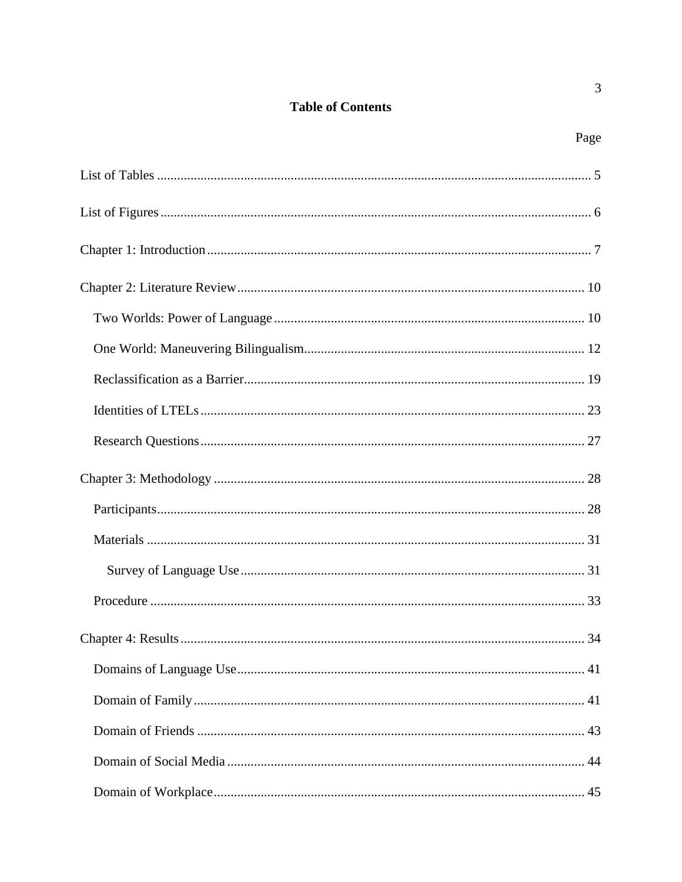## **Table of Contents**

 $\overline{3}$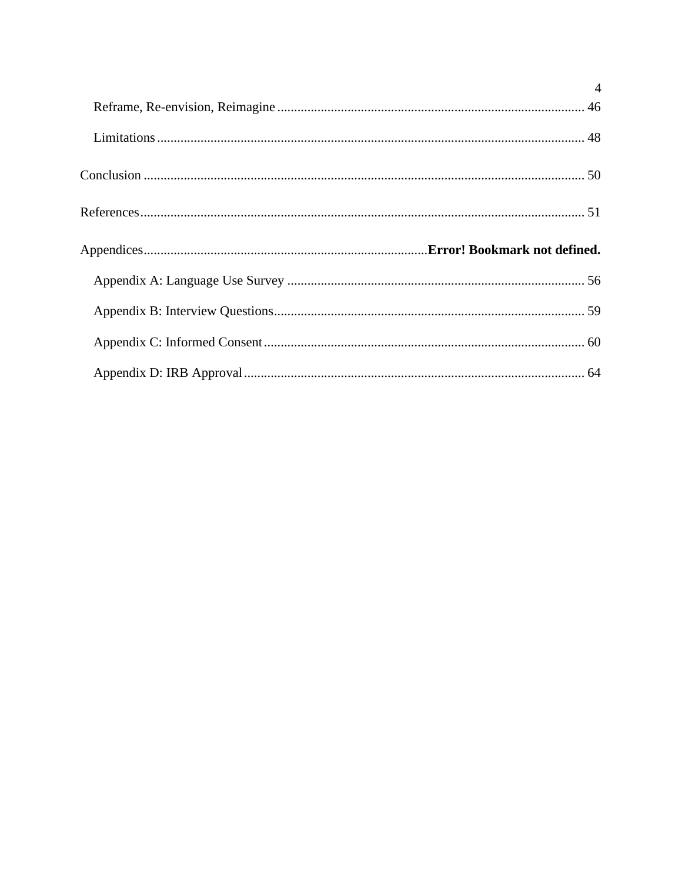| $\overline{4}$ |
|----------------|
|                |
|                |
|                |
|                |
|                |
|                |
|                |
|                |
|                |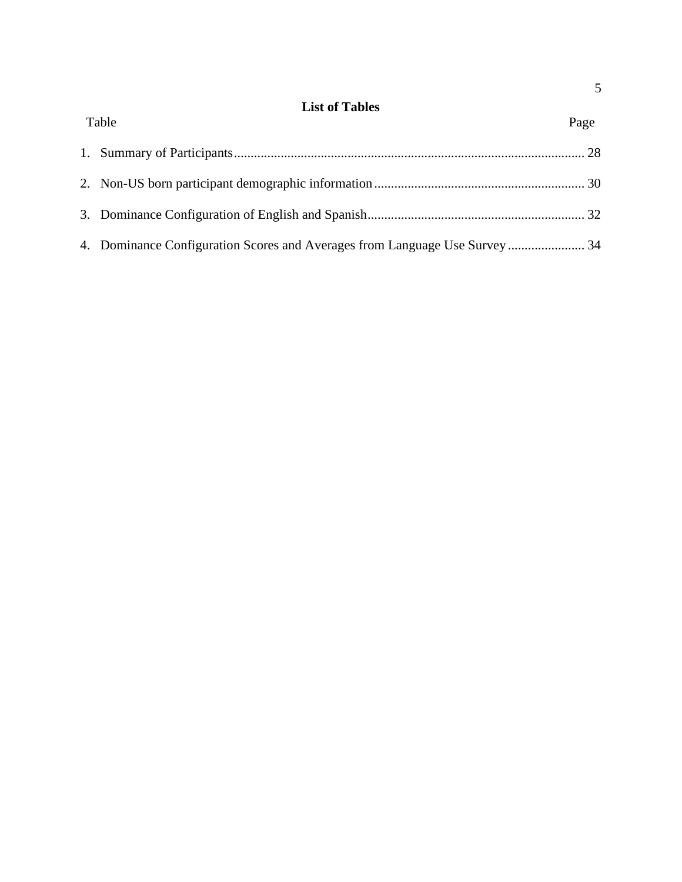| <b>List of Tables</b> |  |
|-----------------------|--|
|-----------------------|--|

<span id="page-5-0"></span>

| Table | Page |
|-------|------|
|       |      |
|       |      |
|       |      |
|       |      |
|       |      |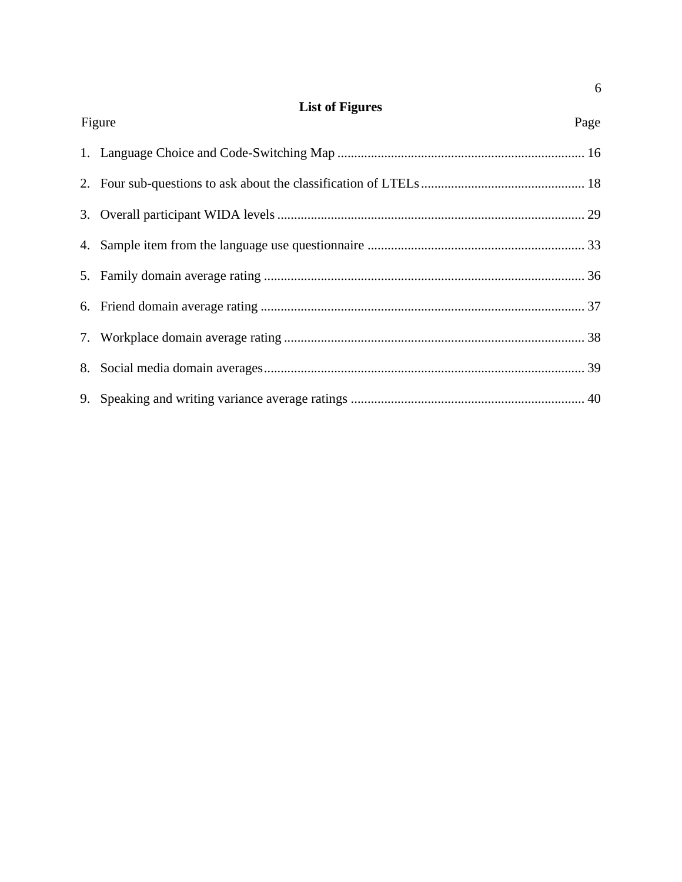# **List of Figures**

<span id="page-6-0"></span>

| Figure<br>Page |  |
|----------------|--|
|                |  |
|                |  |
|                |  |
|                |  |
|                |  |
|                |  |
|                |  |
|                |  |
|                |  |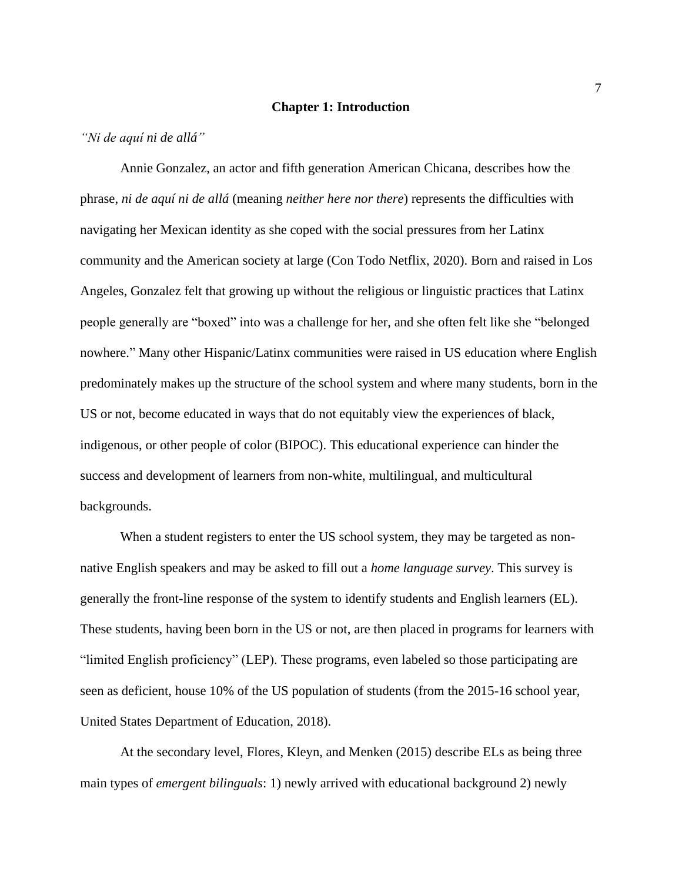#### **Chapter 1: Introduction**

#### <span id="page-7-0"></span>*"Ni de aquí ni de allá"*

Annie Gonzalez, an actor and fifth generation American Chicana, describes how the phrase, *ni de aquí ni de allá* (meaning *neither here nor there*) represents the difficulties with navigating her Mexican identity as she coped with the social pressures from her Latinx community and the American society at large (Con Todo Netflix, 2020). Born and raised in Los Angeles, Gonzalez felt that growing up without the religious or linguistic practices that Latinx people generally are "boxed" into was a challenge for her, and she often felt like she "belonged nowhere." Many other Hispanic/Latinx communities were raised in US education where English predominately makes up the structure of the school system and where many students, born in the US or not, become educated in ways that do not equitably view the experiences of black, indigenous, or other people of color (BIPOC). This educational experience can hinder the success and development of learners from non-white, multilingual, and multicultural backgrounds.

When a student registers to enter the US school system, they may be targeted as nonnative English speakers and may be asked to fill out a *home language survey*. This survey is generally the front-line response of the system to identify students and English learners (EL). These students, having been born in the US or not, are then placed in programs for learners with "limited English proficiency" (LEP). These programs, even labeled so those participating are seen as deficient, house 10% of the US population of students (from the 2015-16 school year, United States Department of Education, 2018).

At the secondary level, Flores, Kleyn, and Menken (2015) describe ELs as being three main types of *emergent bilinguals*: 1) newly arrived with educational background 2) newly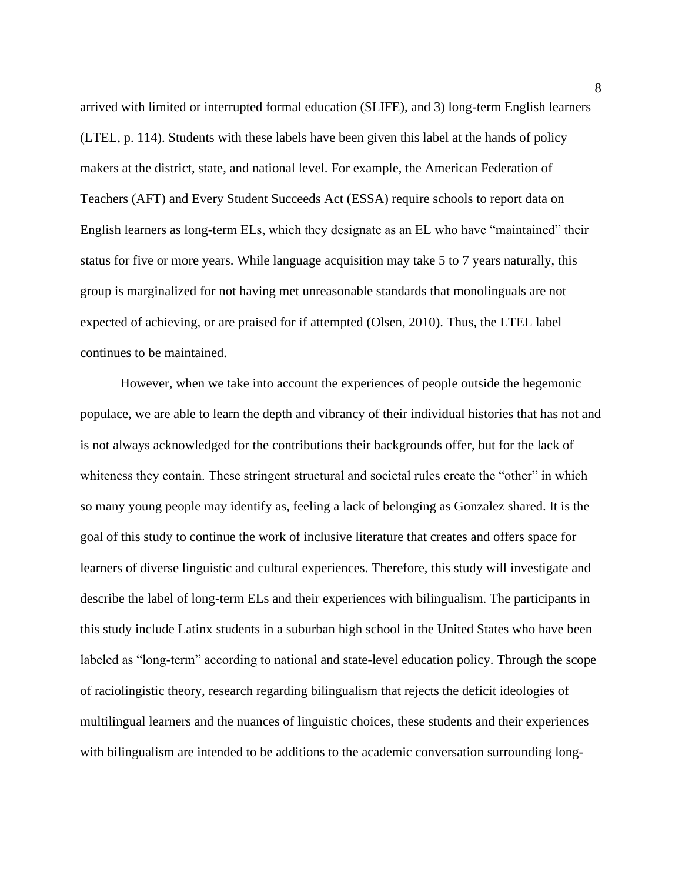arrived with limited or interrupted formal education (SLIFE), and 3) long-term English learners (LTEL, p. 114). Students with these labels have been given this label at the hands of policy makers at the district, state, and national level. For example, the American Federation of Teachers (AFT) and Every Student Succeeds Act (ESSA) require schools to report data on English learners as long-term ELs, which they designate as an EL who have "maintained" their status for five or more years. While language acquisition may take 5 to 7 years naturally, this group is marginalized for not having met unreasonable standards that monolinguals are not expected of achieving, or are praised for if attempted (Olsen, 2010). Thus, the LTEL label continues to be maintained.

However, when we take into account the experiences of people outside the hegemonic populace, we are able to learn the depth and vibrancy of their individual histories that has not and is not always acknowledged for the contributions their backgrounds offer, but for the lack of whiteness they contain. These stringent structural and societal rules create the "other" in which so many young people may identify as, feeling a lack of belonging as Gonzalez shared. It is the goal of this study to continue the work of inclusive literature that creates and offers space for learners of diverse linguistic and cultural experiences. Therefore, this study will investigate and describe the label of long-term ELs and their experiences with bilingualism. The participants in this study include Latinx students in a suburban high school in the United States who have been labeled as "long-term" according to national and state-level education policy. Through the scope of raciolingistic theory, research regarding bilingualism that rejects the deficit ideologies of multilingual learners and the nuances of linguistic choices, these students and their experiences with bilingualism are intended to be additions to the academic conversation surrounding long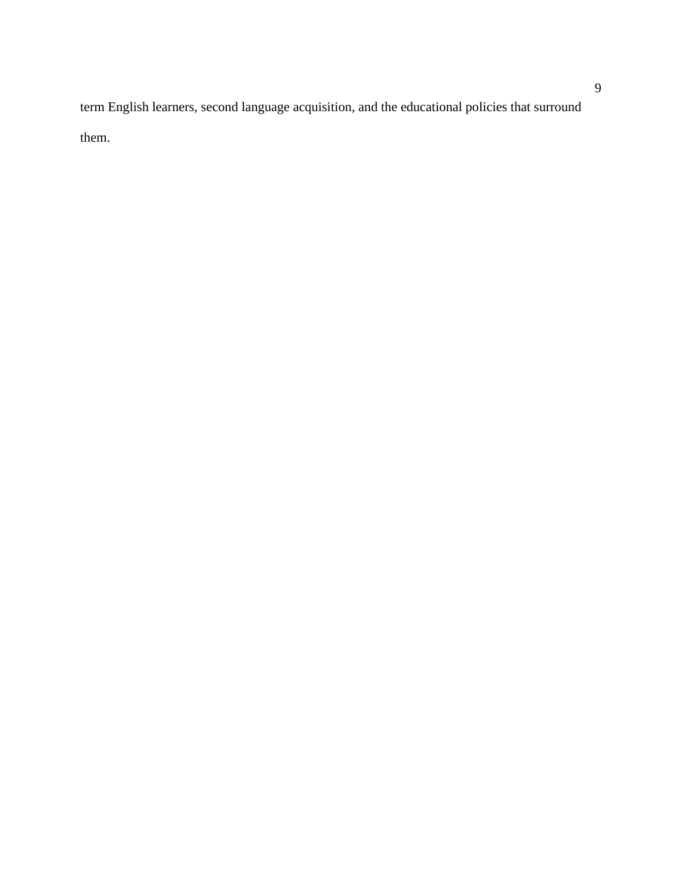term English learners, second language acquisition, and the educational policies that surround them.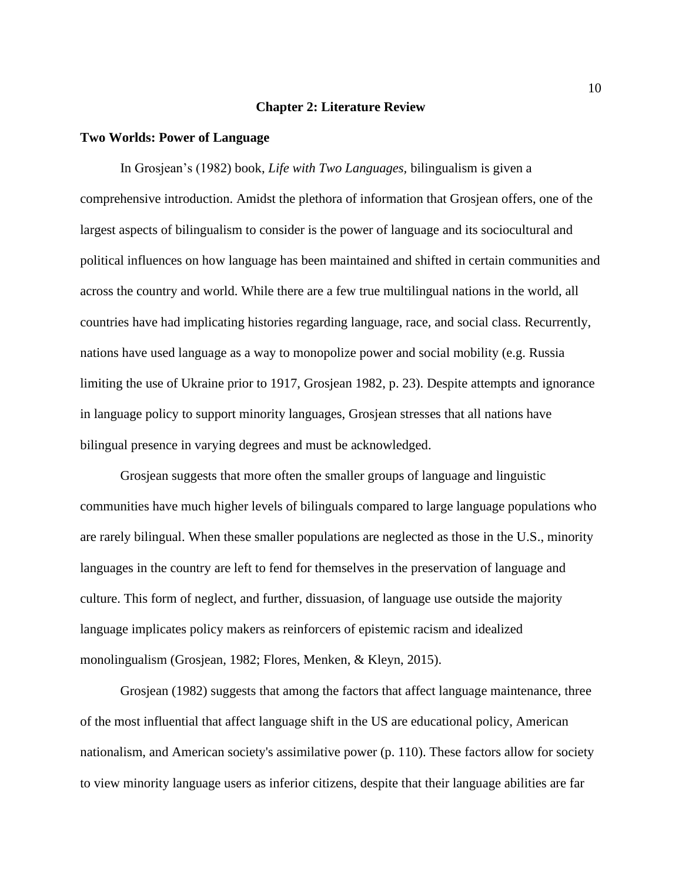#### **Chapter 2: Literature Review**

#### <span id="page-10-1"></span><span id="page-10-0"></span>**Two Worlds: Power of Language**

In Grosjean's (1982) book, *Life with Two Languages,* bilingualism is given a comprehensive introduction. Amidst the plethora of information that Grosjean offers, one of the largest aspects of bilingualism to consider is the power of language and its sociocultural and political influences on how language has been maintained and shifted in certain communities and across the country and world. While there are a few true multilingual nations in the world, all countries have had implicating histories regarding language, race, and social class. Recurrently, nations have used language as a way to monopolize power and social mobility (e.g. Russia limiting the use of Ukraine prior to 1917, Grosjean 1982, p. 23). Despite attempts and ignorance in language policy to support minority languages, Grosjean stresses that all nations have bilingual presence in varying degrees and must be acknowledged.

Grosjean suggests that more often the smaller groups of language and linguistic communities have much higher levels of bilinguals compared to large language populations who are rarely bilingual. When these smaller populations are neglected as those in the U.S., minority languages in the country are left to fend for themselves in the preservation of language and culture. This form of neglect, and further, dissuasion, of language use outside the majority language implicates policy makers as reinforcers of epistemic racism and idealized monolingualism (Grosjean, 1982; Flores, Menken, & Kleyn, 2015).

Grosjean (1982) suggests that among the factors that affect language maintenance, three of the most influential that affect language shift in the US are educational policy, American nationalism, and American society's assimilative power (p. 110). These factors allow for society to view minority language users as inferior citizens, despite that their language abilities are far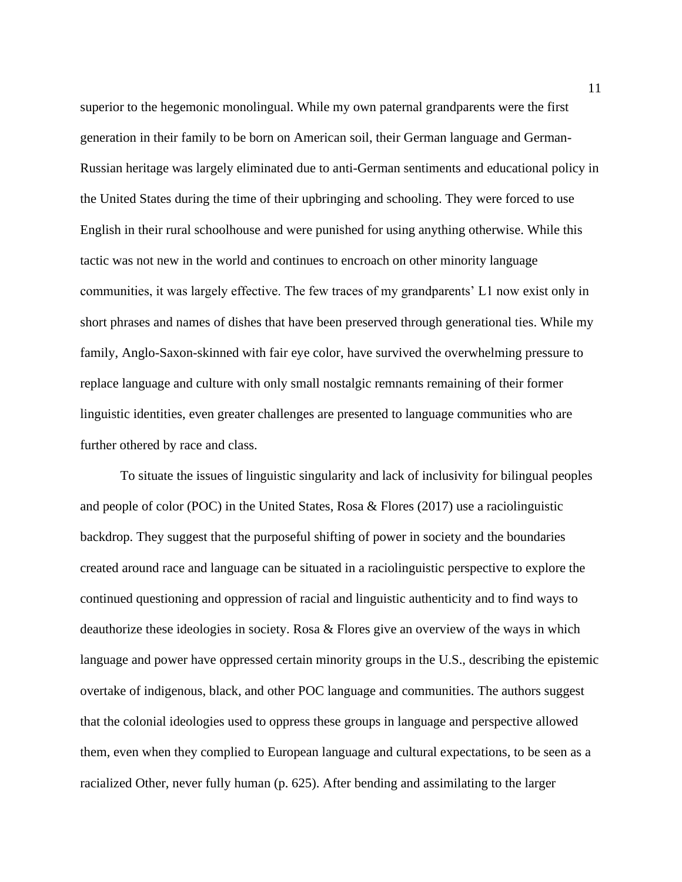superior to the hegemonic monolingual. While my own paternal grandparents were the first generation in their family to be born on American soil, their German language and German-Russian heritage was largely eliminated due to anti-German sentiments and educational policy in the United States during the time of their upbringing and schooling. They were forced to use English in their rural schoolhouse and were punished for using anything otherwise. While this tactic was not new in the world and continues to encroach on other minority language communities, it was largely effective. The few traces of my grandparents' L1 now exist only in short phrases and names of dishes that have been preserved through generational ties. While my family, Anglo-Saxon-skinned with fair eye color, have survived the overwhelming pressure to replace language and culture with only small nostalgic remnants remaining of their former linguistic identities, even greater challenges are presented to language communities who are further othered by race and class.

To situate the issues of linguistic singularity and lack of inclusivity for bilingual peoples and people of color (POC) in the United States, Rosa & Flores (2017) use a raciolinguistic backdrop. They suggest that the purposeful shifting of power in society and the boundaries created around race and language can be situated in a raciolinguistic perspective to explore the continued questioning and oppression of racial and linguistic authenticity and to find ways to deauthorize these ideologies in society. Rosa & Flores give an overview of the ways in which language and power have oppressed certain minority groups in the U.S., describing the epistemic overtake of indigenous, black, and other POC language and communities. The authors suggest that the colonial ideologies used to oppress these groups in language and perspective allowed them, even when they complied to European language and cultural expectations, to be seen as a racialized Other, never fully human (p. 625). After bending and assimilating to the larger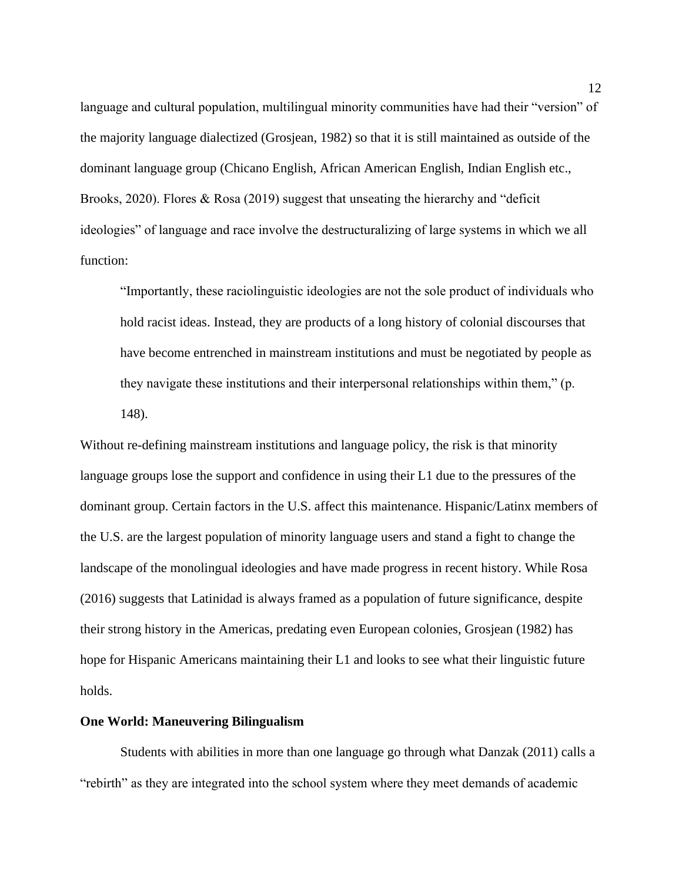language and cultural population, multilingual minority communities have had their "version" of the majority language dialectized (Grosjean, 1982) so that it is still maintained as outside of the dominant language group (Chicano English, African American English, Indian English etc., Brooks, 2020). Flores & Rosa (2019) suggest that unseating the hierarchy and "deficit ideologies" of language and race involve the destructuralizing of large systems in which we all function:

"Importantly, these raciolinguistic ideologies are not the sole product of individuals who hold racist ideas. Instead, they are products of a long history of colonial discourses that have become entrenched in mainstream institutions and must be negotiated by people as they navigate these institutions and their interpersonal relationships within them," (p. 148).

Without re-defining mainstream institutions and language policy, the risk is that minority language groups lose the support and confidence in using their L1 due to the pressures of the dominant group. Certain factors in the U.S. affect this maintenance. Hispanic/Latinx members of the U.S. are the largest population of minority language users and stand a fight to change the landscape of the monolingual ideologies and have made progress in recent history. While Rosa (2016) suggests that Latinidad is always framed as a population of future significance, despite their strong history in the Americas, predating even European colonies, Grosjean (1982) has hope for Hispanic Americans maintaining their L1 and looks to see what their linguistic future holds.

#### <span id="page-12-0"></span>**One World: Maneuvering Bilingualism**

Students with abilities in more than one language go through what Danzak (2011) calls a "rebirth" as they are integrated into the school system where they meet demands of academic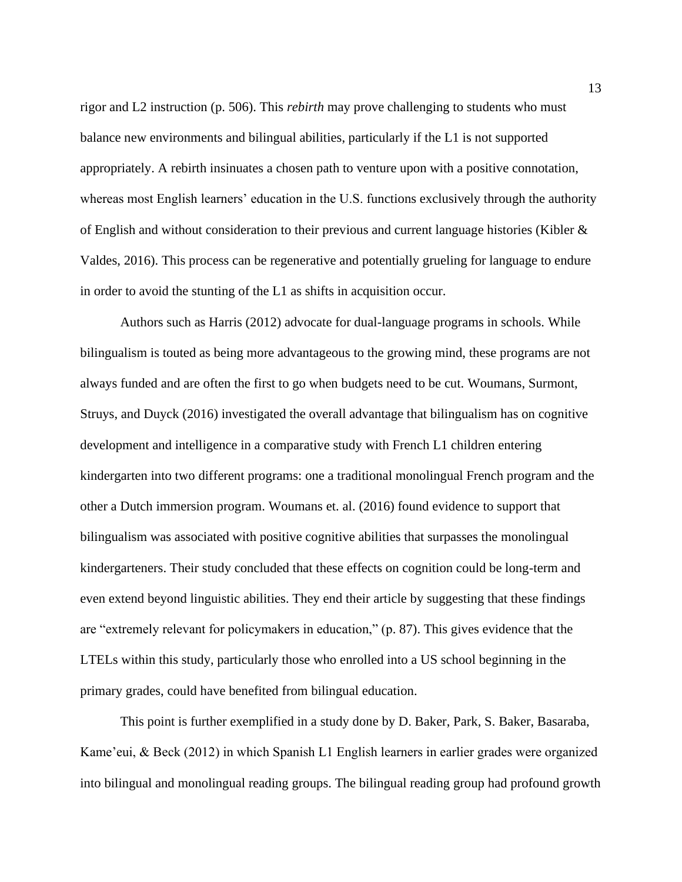rigor and L2 instruction (p. 506). This *rebirth* may prove challenging to students who must balance new environments and bilingual abilities, particularly if the L1 is not supported appropriately. A rebirth insinuates a chosen path to venture upon with a positive connotation, whereas most English learners' education in the U.S. functions exclusively through the authority of English and without consideration to their previous and current language histories (Kibler & Valdes, 2016). This process can be regenerative and potentially grueling for language to endure in order to avoid the stunting of the L1 as shifts in acquisition occur.

Authors such as Harris (2012) advocate for dual-language programs in schools. While bilingualism is touted as being more advantageous to the growing mind, these programs are not always funded and are often the first to go when budgets need to be cut. Woumans, Surmont, Struys, and Duyck (2016) investigated the overall advantage that bilingualism has on cognitive development and intelligence in a comparative study with French L1 children entering kindergarten into two different programs: one a traditional monolingual French program and the other a Dutch immersion program. Woumans et. al. (2016) found evidence to support that bilingualism was associated with positive cognitive abilities that surpasses the monolingual kindergarteners. Their study concluded that these effects on cognition could be long-term and even extend beyond linguistic abilities. They end their article by suggesting that these findings are "extremely relevant for policymakers in education," (p. 87). This gives evidence that the LTELs within this study, particularly those who enrolled into a US school beginning in the primary grades, could have benefited from bilingual education.

This point is further exemplified in a study done by D. Baker, Park, S. Baker, Basaraba, Kame'eui, & Beck (2012) in which Spanish L1 English learners in earlier grades were organized into bilingual and monolingual reading groups. The bilingual reading group had profound growth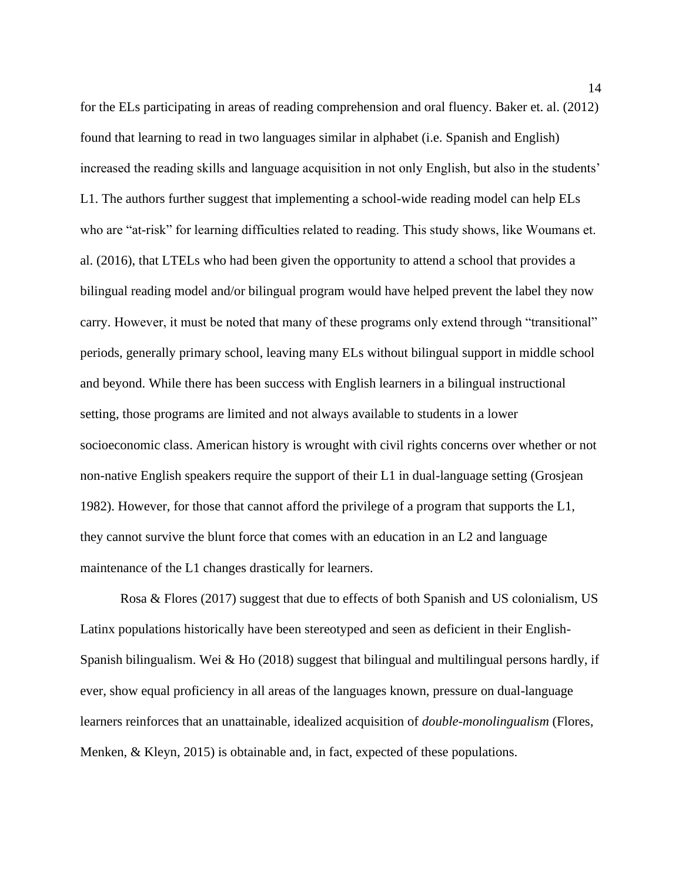for the ELs participating in areas of reading comprehension and oral fluency. Baker et. al. (2012) found that learning to read in two languages similar in alphabet (i.e. Spanish and English) increased the reading skills and language acquisition in not only English, but also in the students' L1. The authors further suggest that implementing a school-wide reading model can help ELs who are "at-risk" for learning difficulties related to reading. This study shows, like Woumans et. al. (2016), that LTELs who had been given the opportunity to attend a school that provides a bilingual reading model and/or bilingual program would have helped prevent the label they now carry. However, it must be noted that many of these programs only extend through "transitional" periods, generally primary school, leaving many ELs without bilingual support in middle school and beyond. While there has been success with English learners in a bilingual instructional setting, those programs are limited and not always available to students in a lower socioeconomic class. American history is wrought with civil rights concerns over whether or not non-native English speakers require the support of their L1 in dual-language setting (Grosjean 1982). However, for those that cannot afford the privilege of a program that supports the L1, they cannot survive the blunt force that comes with an education in an L2 and language maintenance of the L1 changes drastically for learners.

Rosa & Flores (2017) suggest that due to effects of both Spanish and US colonialism, US Latinx populations historically have been stereotyped and seen as deficient in their English-Spanish bilingualism. Wei & Ho (2018) suggest that bilingual and multilingual persons hardly, if ever, show equal proficiency in all areas of the languages known, pressure on dual-language learners reinforces that an unattainable, idealized acquisition of *double-monolingualism* (Flores, Menken, & Kleyn, 2015) is obtainable and, in fact, expected of these populations.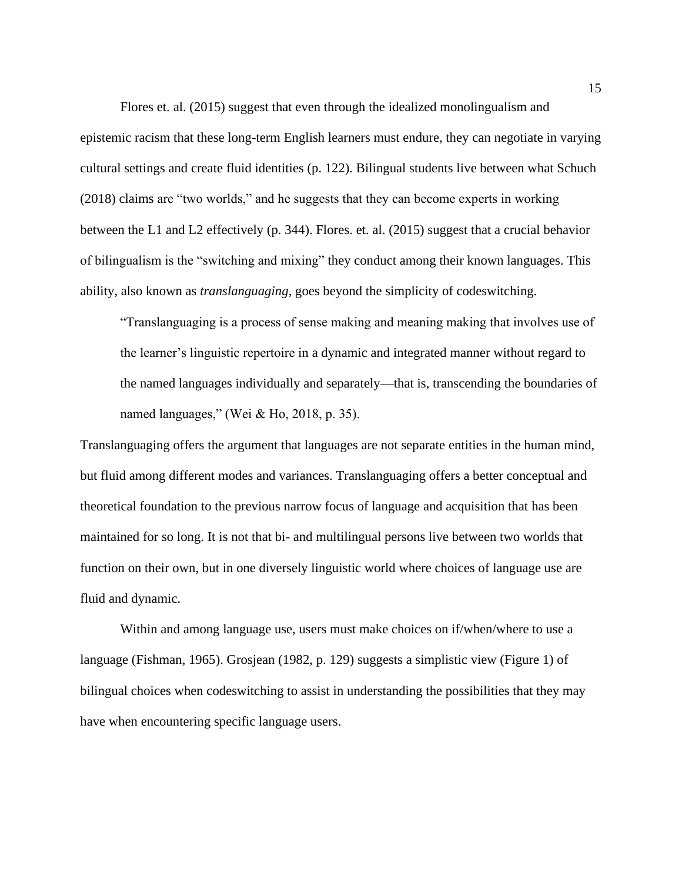Flores et. al. (2015) suggest that even through the idealized monolingualism and epistemic racism that these long-term English learners must endure, they can negotiate in varying cultural settings and create fluid identities (p. 122). Bilingual students live between what Schuch (2018) claims are "two worlds," and he suggests that they can become experts in working between the L1 and L2 effectively (p. 344). Flores. et. al. (2015) suggest that a crucial behavior of bilingualism is the "switching and mixing" they conduct among their known languages. This ability, also known as *translanguaging*, goes beyond the simplicity of codeswitching.

"Translanguaging is a process of sense making and meaning making that involves use of the learner's linguistic repertoire in a dynamic and integrated manner without regard to the named languages individually and separately—that is, transcending the boundaries of named languages," (Wei & Ho, 2018, p. 35).

Translanguaging offers the argument that languages are not separate entities in the human mind, but fluid among different modes and variances. Translanguaging offers a better conceptual and theoretical foundation to the previous narrow focus of language and acquisition that has been maintained for so long. It is not that bi- and multilingual persons live between two worlds that function on their own, but in one diversely linguistic world where choices of language use are fluid and dynamic.

Within and among language use, users must make choices on if/when/where to use a language (Fishman, 1965). Grosjean (1982, p. 129) suggests a simplistic view (Figure 1) of bilingual choices when codeswitching to assist in understanding the possibilities that they may have when encountering specific language users.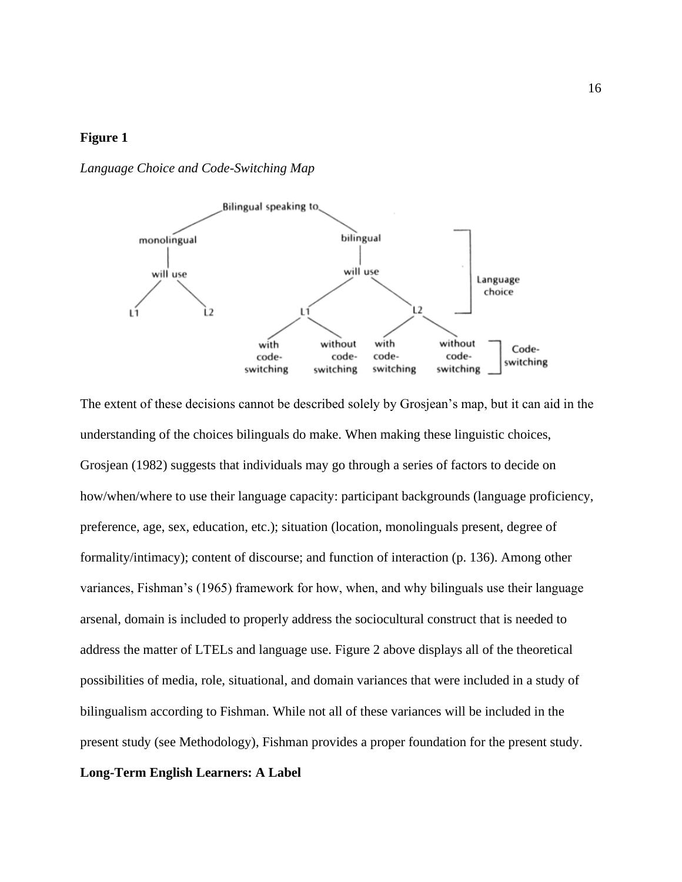<span id="page-16-0"></span>*Language Choice and Code-Switching Map*



The extent of these decisions cannot be described solely by Grosjean's map, but it can aid in the understanding of the choices bilinguals do make. When making these linguistic choices, Grosjean (1982) suggests that individuals may go through a series of factors to decide on how/when/where to use their language capacity: participant backgrounds (language proficiency, preference, age, sex, education, etc.); situation (location, monolinguals present, degree of formality/intimacy); content of discourse; and function of interaction (p. 136). Among other variances, Fishman's (1965) framework for how, when, and why bilinguals use their language arsenal, domain is included to properly address the sociocultural construct that is needed to address the matter of LTELs and language use. Figure 2 above displays all of the theoretical possibilities of media, role, situational, and domain variances that were included in a study of bilingualism according to Fishman. While not all of these variances will be included in the present study (see Methodology), Fishman provides a proper foundation for the present study. **Long-Term English Learners: A Label**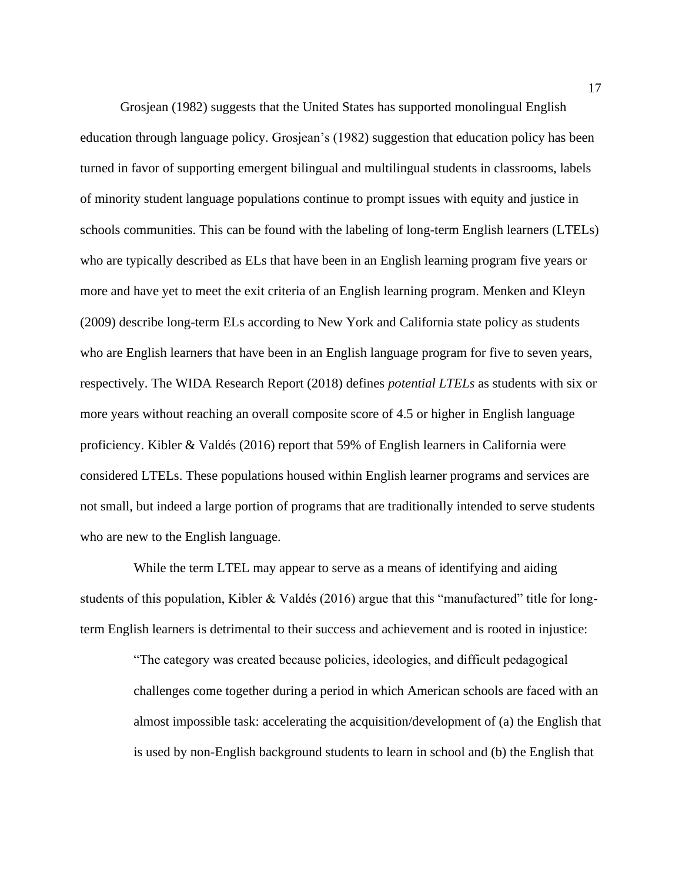Grosjean (1982) suggests that the United States has supported monolingual English education through language policy. Grosjean's (1982) suggestion that education policy has been turned in favor of supporting emergent bilingual and multilingual students in classrooms, labels of minority student language populations continue to prompt issues with equity and justice in schools communities. This can be found with the labeling of long-term English learners (LTELs) who are typically described as ELs that have been in an English learning program five years or more and have yet to meet the exit criteria of an English learning program. Menken and Kleyn (2009) describe long-term ELs according to New York and California state policy as students who are English learners that have been in an English language program for five to seven years, respectively. The WIDA Research Report (2018) defines *potential LTELs* as students with six or more years without reaching an overall composite score of 4.5 or higher in English language proficiency. Kibler & Valdés (2016) report that 59% of English learners in California were considered LTELs. These populations housed within English learner programs and services are not small, but indeed a large portion of programs that are traditionally intended to serve students who are new to the English language.

While the term LTEL may appear to serve as a means of identifying and aiding students of this population, Kibler & Valdés (2016) argue that this "manufactured" title for longterm English learners is detrimental to their success and achievement and is rooted in injustice:

> "The category was created because policies, ideologies, and difficult pedagogical challenges come together during a period in which American schools are faced with an almost impossible task: accelerating the acquisition/development of (a) the English that is used by non-English background students to learn in school and (b) the English that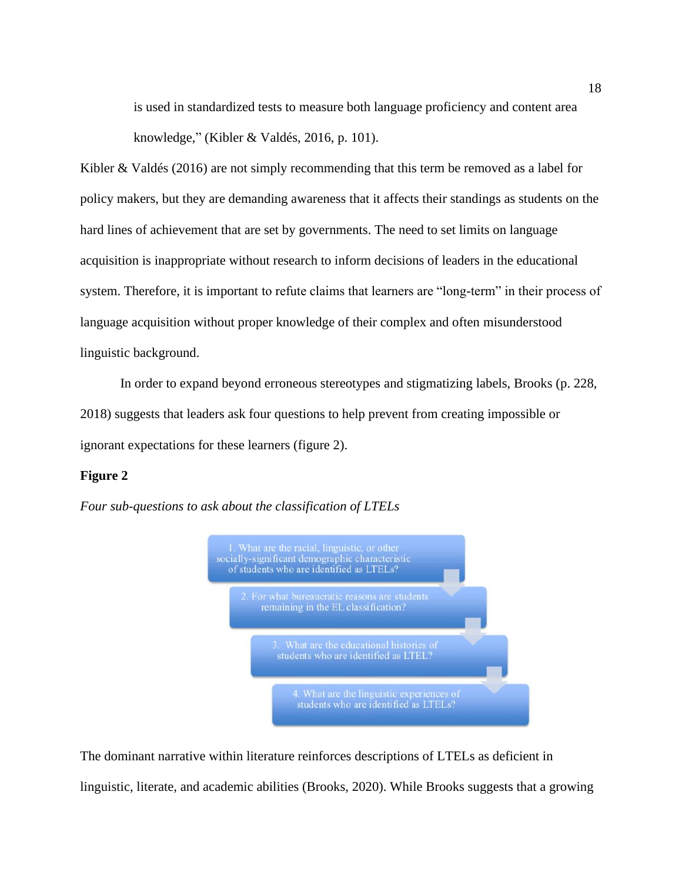is used in standardized tests to measure both language proficiency and content area knowledge," (Kibler & Valdés, 2016, p. 101).

Kibler & Valdés (2016) are not simply recommending that this term be removed as a label for policy makers, but they are demanding awareness that it affects their standings as students on the hard lines of achievement that are set by governments. The need to set limits on language acquisition is inappropriate without research to inform decisions of leaders in the educational system. Therefore, it is important to refute claims that learners are "long-term" in their process of language acquisition without proper knowledge of their complex and often misunderstood linguistic background.

In order to expand beyond erroneous stereotypes and stigmatizing labels, Brooks (p. 228, 2018) suggests that leaders ask four questions to help prevent from creating impossible or ignorant expectations for these learners (figure 2).

### **Figure 2**

<span id="page-18-0"></span>*Four sub-questions to ask about the classification of LTELs*



The dominant narrative within literature reinforces descriptions of LTELs as deficient in linguistic, literate, and academic abilities (Brooks, 2020). While Brooks suggests that a growing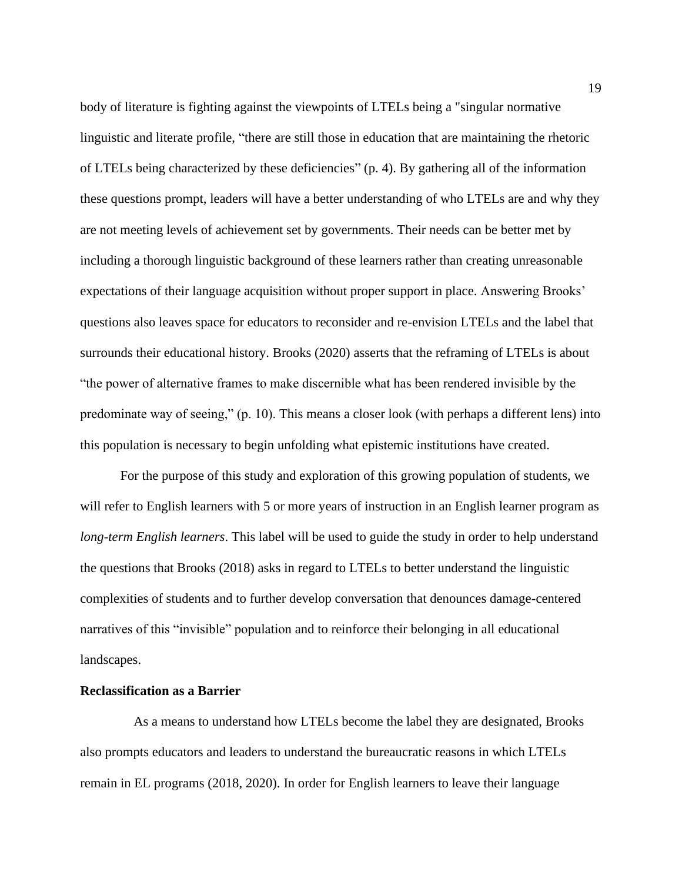body of literature is fighting against the viewpoints of LTELs being a "singular normative linguistic and literate profile, "there are still those in education that are maintaining the rhetoric of LTELs being characterized by these deficiencies" (p. 4). By gathering all of the information these questions prompt, leaders will have a better understanding of who LTELs are and why they are not meeting levels of achievement set by governments. Their needs can be better met by including a thorough linguistic background of these learners rather than creating unreasonable expectations of their language acquisition without proper support in place. Answering Brooks' questions also leaves space for educators to reconsider and re-envision LTELs and the label that surrounds their educational history. Brooks (2020) asserts that the reframing of LTELs is about "the power of alternative frames to make discernible what has been rendered invisible by the predominate way of seeing," (p. 10). This means a closer look (with perhaps a different lens) into this population is necessary to begin unfolding what epistemic institutions have created.

For the purpose of this study and exploration of this growing population of students, we will refer to English learners with 5 or more years of instruction in an English learner program as *long-term English learners*. This label will be used to guide the study in order to help understand the questions that Brooks (2018) asks in regard to LTELs to better understand the linguistic complexities of students and to further develop conversation that denounces damage-centered narratives of this "invisible" population and to reinforce their belonging in all educational landscapes.

## <span id="page-19-0"></span>**Reclassification as a Barrier**

As a means to understand how LTELs become the label they are designated, Brooks also prompts educators and leaders to understand the bureaucratic reasons in which LTELs remain in EL programs (2018, 2020). In order for English learners to leave their language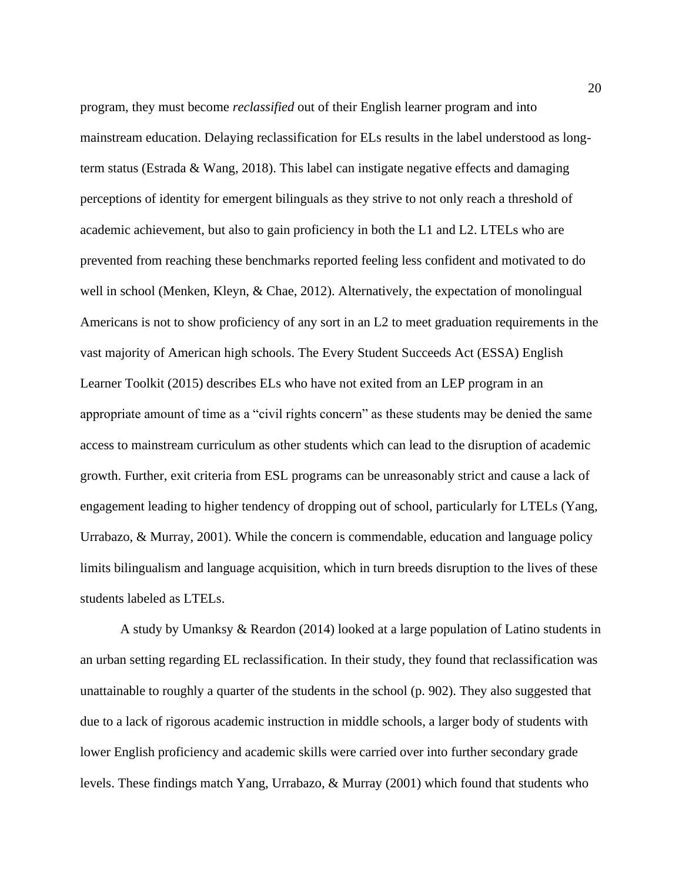program, they must become *reclassified* out of their English learner program and into mainstream education. Delaying reclassification for ELs results in the label understood as longterm status (Estrada & Wang, 2018). This label can instigate negative effects and damaging perceptions of identity for emergent bilinguals as they strive to not only reach a threshold of academic achievement, but also to gain proficiency in both the L1 and L2. LTELs who are prevented from reaching these benchmarks reported feeling less confident and motivated to do well in school (Menken, Kleyn, & Chae, 2012). Alternatively, the expectation of monolingual Americans is not to show proficiency of any sort in an L2 to meet graduation requirements in the vast majority of American high schools. The Every Student Succeeds Act (ESSA) English Learner Toolkit (2015) describes ELs who have not exited from an LEP program in an appropriate amount of time as a "civil rights concern" as these students may be denied the same access to mainstream curriculum as other students which can lead to the disruption of academic growth. Further, exit criteria from ESL programs can be unreasonably strict and cause a lack of engagement leading to higher tendency of dropping out of school, particularly for LTELs (Yang, Urrabazo, & Murray, 2001). While the concern is commendable, education and language policy limits bilingualism and language acquisition, which in turn breeds disruption to the lives of these students labeled as LTELs.

 A study by Umanksy & Reardon (2014) looked at a large population of Latino students in an urban setting regarding EL reclassification. In their study, they found that reclassification was unattainable to roughly a quarter of the students in the school (p. 902). They also suggested that due to a lack of rigorous academic instruction in middle schools, a larger body of students with lower English proficiency and academic skills were carried over into further secondary grade levels. These findings match Yang, Urrabazo, & Murray (2001) which found that students who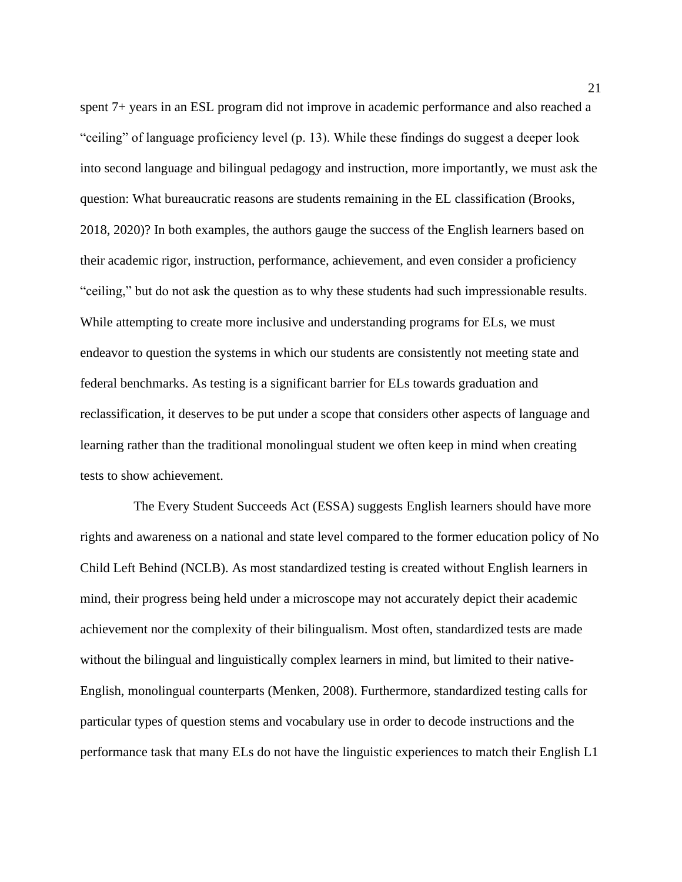spent 7+ years in an ESL program did not improve in academic performance and also reached a "ceiling" of language proficiency level (p. 13). While these findings do suggest a deeper look into second language and bilingual pedagogy and instruction, more importantly, we must ask the question: What bureaucratic reasons are students remaining in the EL classification (Brooks, 2018, 2020)? In both examples, the authors gauge the success of the English learners based on their academic rigor, instruction, performance, achievement, and even consider a proficiency "ceiling," but do not ask the question as to why these students had such impressionable results. While attempting to create more inclusive and understanding programs for ELs, we must endeavor to question the systems in which our students are consistently not meeting state and federal benchmarks. As testing is a significant barrier for ELs towards graduation and reclassification, it deserves to be put under a scope that considers other aspects of language and learning rather than the traditional monolingual student we often keep in mind when creating tests to show achievement.

The Every Student Succeeds Act (ESSA) suggests English learners should have more rights and awareness on a national and state level compared to the former education policy of No Child Left Behind (NCLB). As most standardized testing is created without English learners in mind, their progress being held under a microscope may not accurately depict their academic achievement nor the complexity of their bilingualism. Most often, standardized tests are made without the bilingual and linguistically complex learners in mind, but limited to their native-English, monolingual counterparts (Menken, 2008). Furthermore, standardized testing calls for particular types of question stems and vocabulary use in order to decode instructions and the performance task that many ELs do not have the linguistic experiences to match their English L1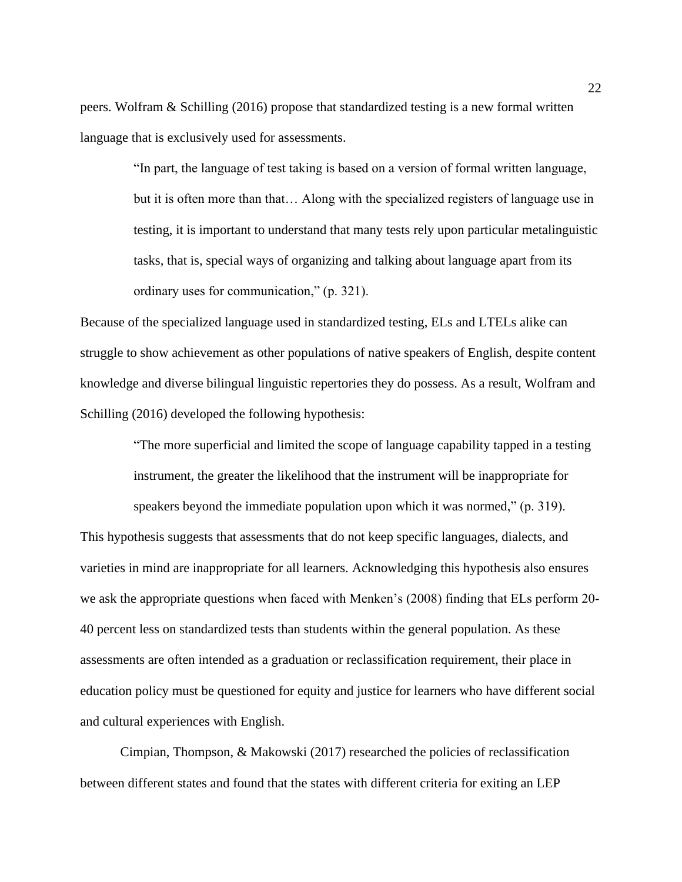peers. Wolfram & Schilling (2016) propose that standardized testing is a new formal written language that is exclusively used for assessments.

> "In part, the language of test taking is based on a version of formal written language, but it is often more than that… Along with the specialized registers of language use in testing, it is important to understand that many tests rely upon particular metalinguistic tasks, that is, special ways of organizing and talking about language apart from its ordinary uses for communication," (p. 321).

Because of the specialized language used in standardized testing, ELs and LTELs alike can struggle to show achievement as other populations of native speakers of English, despite content knowledge and diverse bilingual linguistic repertories they do possess. As a result, Wolfram and Schilling (2016) developed the following hypothesis:

> "The more superficial and limited the scope of language capability tapped in a testing instrument, the greater the likelihood that the instrument will be inappropriate for speakers beyond the immediate population upon which it was normed," (p. 319).

This hypothesis suggests that assessments that do not keep specific languages, dialects, and varieties in mind are inappropriate for all learners. Acknowledging this hypothesis also ensures we ask the appropriate questions when faced with Menken's (2008) finding that ELs perform 20- 40 percent less on standardized tests than students within the general population. As these assessments are often intended as a graduation or reclassification requirement, their place in education policy must be questioned for equity and justice for learners who have different social and cultural experiences with English.

Cimpian, Thompson, & Makowski (2017) researched the policies of reclassification between different states and found that the states with different criteria for exiting an LEP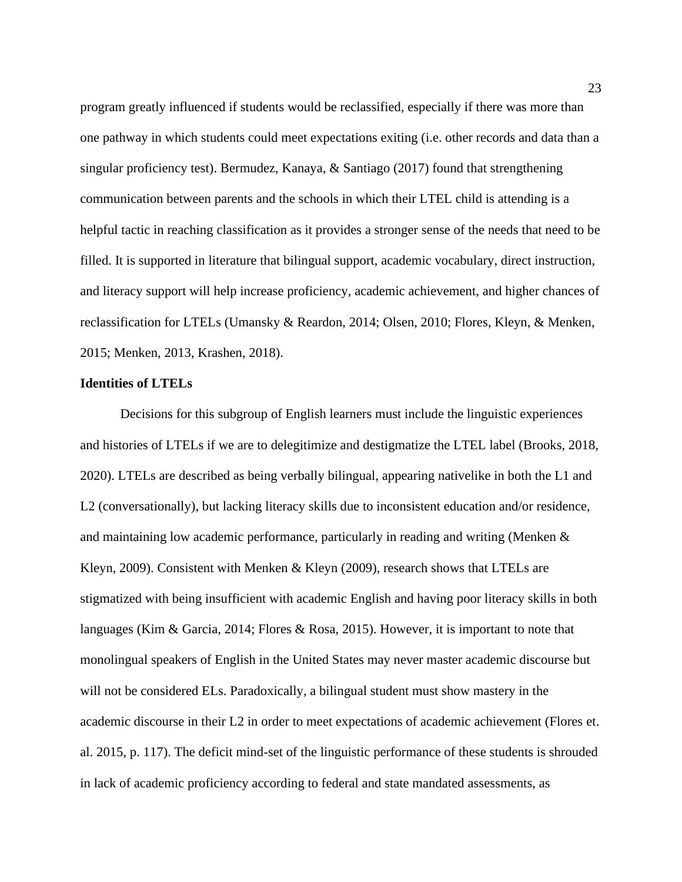program greatly influenced if students would be reclassified, especially if there was more than one pathway in which students could meet expectations exiting (i.e. other records and data than a singular proficiency test). Bermudez, Kanaya, & Santiago (2017) found that strengthening communication between parents and the schools in which their LTEL child is attending is a helpful tactic in reaching classification as it provides a stronger sense of the needs that need to be filled. It is supported in literature that bilingual support, academic vocabulary, direct instruction, and literacy support will help increase proficiency, academic achievement, and higher chances of reclassification for LTELs (Umansky & Reardon, 2014; Olsen, 2010; Flores, Kleyn, & Menken, 2015; Menken, 2013, Krashen, 2018).

### <span id="page-23-0"></span>**Identities of LTELs**

Decisions for this subgroup of English learners must include the linguistic experiences and histories of LTELs if we are to delegitimize and destigmatize the LTEL label (Brooks, 2018, 2020). LTELs are described as being verbally bilingual, appearing nativelike in both the L1 and L2 (conversationally), but lacking literacy skills due to inconsistent education and/or residence, and maintaining low academic performance, particularly in reading and writing (Menken  $\&$ Kleyn, 2009). Consistent with Menken & Kleyn (2009), research shows that LTELs are stigmatized with being insufficient with academic English and having poor literacy skills in both languages (Kim & Garcia, 2014; Flores & Rosa, 2015). However, it is important to note that monolingual speakers of English in the United States may never master academic discourse but will not be considered ELs. Paradoxically, a bilingual student must show mastery in the academic discourse in their L2 in order to meet expectations of academic achievement (Flores et. al. 2015, p. 117). The deficit mind-set of the linguistic performance of these students is shrouded in lack of academic proficiency according to federal and state mandated assessments, as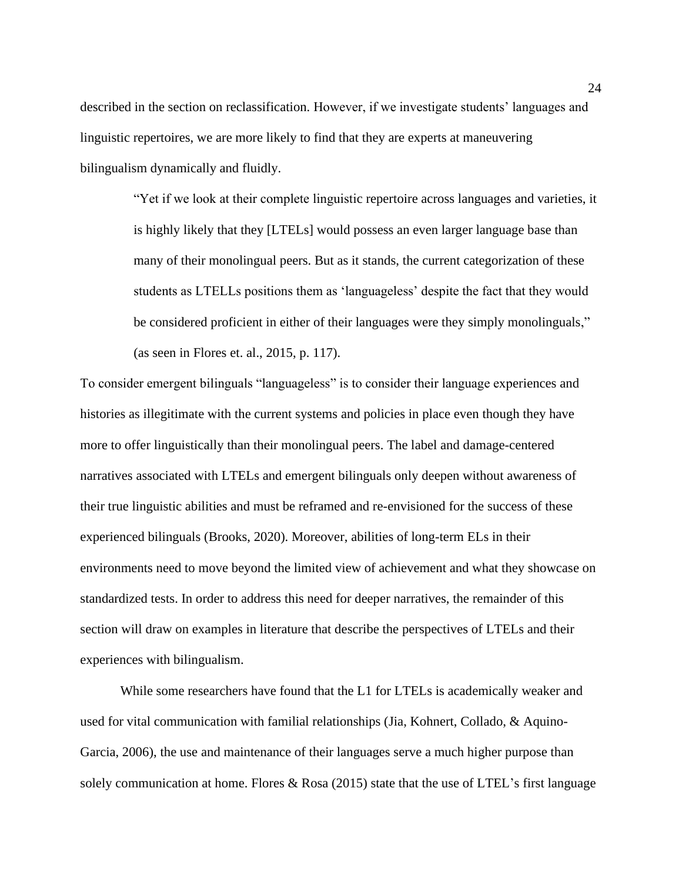described in the section on reclassification. However, if we investigate students' languages and linguistic repertoires, we are more likely to find that they are experts at maneuvering bilingualism dynamically and fluidly.

> "Yet if we look at their complete linguistic repertoire across languages and varieties, it is highly likely that they [LTELs] would possess an even larger language base than many of their monolingual peers. But as it stands, the current categorization of these students as LTELLs positions them as 'languageless' despite the fact that they would be considered proficient in either of their languages were they simply monolinguals," (as seen in Flores et. al., 2015, p. 117).

To consider emergent bilinguals "languageless" is to consider their language experiences and histories as illegitimate with the current systems and policies in place even though they have more to offer linguistically than their monolingual peers. The label and damage-centered narratives associated with LTELs and emergent bilinguals only deepen without awareness of their true linguistic abilities and must be reframed and re-envisioned for the success of these experienced bilinguals (Brooks, 2020). Moreover, abilities of long-term ELs in their environments need to move beyond the limited view of achievement and what they showcase on standardized tests. In order to address this need for deeper narratives, the remainder of this section will draw on examples in literature that describe the perspectives of LTELs and their experiences with bilingualism.

While some researchers have found that the L1 for LTELs is academically weaker and used for vital communication with familial relationships (Jia, Kohnert, Collado, & Aquino-Garcia, 2006), the use and maintenance of their languages serve a much higher purpose than solely communication at home. Flores & Rosa (2015) state that the use of LTEL's first language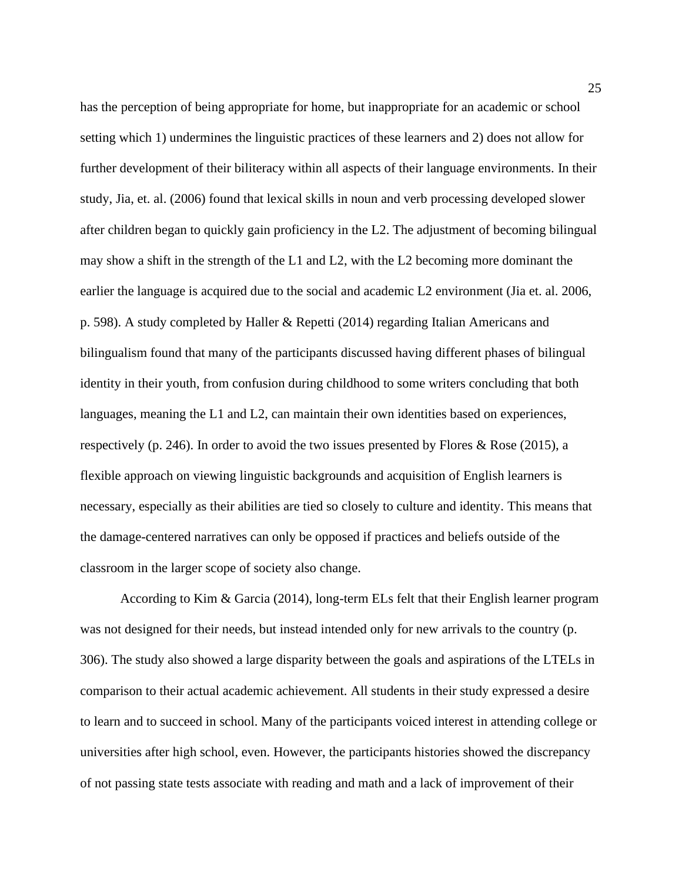has the perception of being appropriate for home, but inappropriate for an academic or school setting which 1) undermines the linguistic practices of these learners and 2) does not allow for further development of their biliteracy within all aspects of their language environments. In their study, Jia, et. al. (2006) found that lexical skills in noun and verb processing developed slower after children began to quickly gain proficiency in the L2. The adjustment of becoming bilingual may show a shift in the strength of the L1 and L2, with the L2 becoming more dominant the earlier the language is acquired due to the social and academic L2 environment (Jia et. al. 2006, p. 598). A study completed by Haller & Repetti (2014) regarding Italian Americans and bilingualism found that many of the participants discussed having different phases of bilingual identity in their youth, from confusion during childhood to some writers concluding that both languages, meaning the L1 and L2, can maintain their own identities based on experiences, respectively (p. 246). In order to avoid the two issues presented by Flores & Rose (2015), a flexible approach on viewing linguistic backgrounds and acquisition of English learners is necessary, especially as their abilities are tied so closely to culture and identity. This means that the damage-centered narratives can only be opposed if practices and beliefs outside of the classroom in the larger scope of society also change.

According to Kim & Garcia (2014), long-term ELs felt that their English learner program was not designed for their needs, but instead intended only for new arrivals to the country (p. 306). The study also showed a large disparity between the goals and aspirations of the LTELs in comparison to their actual academic achievement. All students in their study expressed a desire to learn and to succeed in school. Many of the participants voiced interest in attending college or universities after high school, even. However, the participants histories showed the discrepancy of not passing state tests associate with reading and math and a lack of improvement of their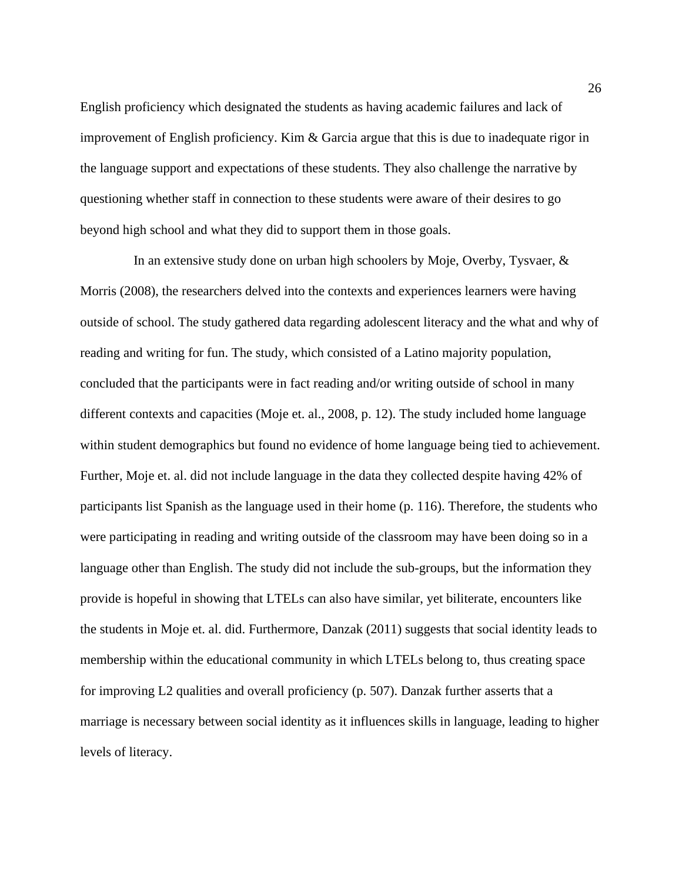English proficiency which designated the students as having academic failures and lack of improvement of English proficiency. Kim  $\&$  Garcia argue that this is due to inadequate rigor in the language support and expectations of these students. They also challenge the narrative by questioning whether staff in connection to these students were aware of their desires to go beyond high school and what they did to support them in those goals.

In an extensive study done on urban high schoolers by Moje, Overby, Tysvaer, & Morris (2008), the researchers delved into the contexts and experiences learners were having outside of school. The study gathered data regarding adolescent literacy and the what and why of reading and writing for fun. The study, which consisted of a Latino majority population, concluded that the participants were in fact reading and/or writing outside of school in many different contexts and capacities (Moje et. al., 2008, p. 12). The study included home language within student demographics but found no evidence of home language being tied to achievement. Further, Moje et. al. did not include language in the data they collected despite having 42% of participants list Spanish as the language used in their home (p. 116). Therefore, the students who were participating in reading and writing outside of the classroom may have been doing so in a language other than English. The study did not include the sub-groups, but the information they provide is hopeful in showing that LTELs can also have similar, yet biliterate, encounters like the students in Moje et. al. did. Furthermore, Danzak (2011) suggests that social identity leads to membership within the educational community in which LTELs belong to, thus creating space for improving L2 qualities and overall proficiency (p. 507). Danzak further asserts that a marriage is necessary between social identity as it influences skills in language, leading to higher levels of literacy.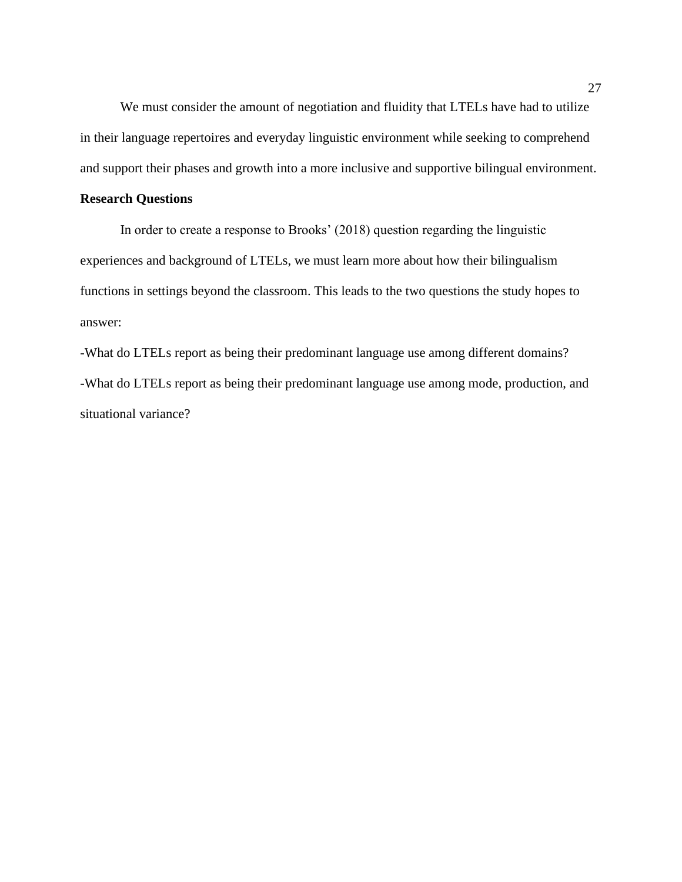We must consider the amount of negotiation and fluidity that LTELs have had to utilize in their language repertoires and everyday linguistic environment while seeking to comprehend and support their phases and growth into a more inclusive and supportive bilingual environment.

## <span id="page-27-0"></span>**Research Questions**

In order to create a response to Brooks' (2018) question regarding the linguistic experiences and background of LTELs, we must learn more about how their bilingualism functions in settings beyond the classroom. This leads to the two questions the study hopes to answer:

-What do LTELs report as being their predominant language use among different domains? -What do LTELs report as being their predominant language use among mode, production, and situational variance?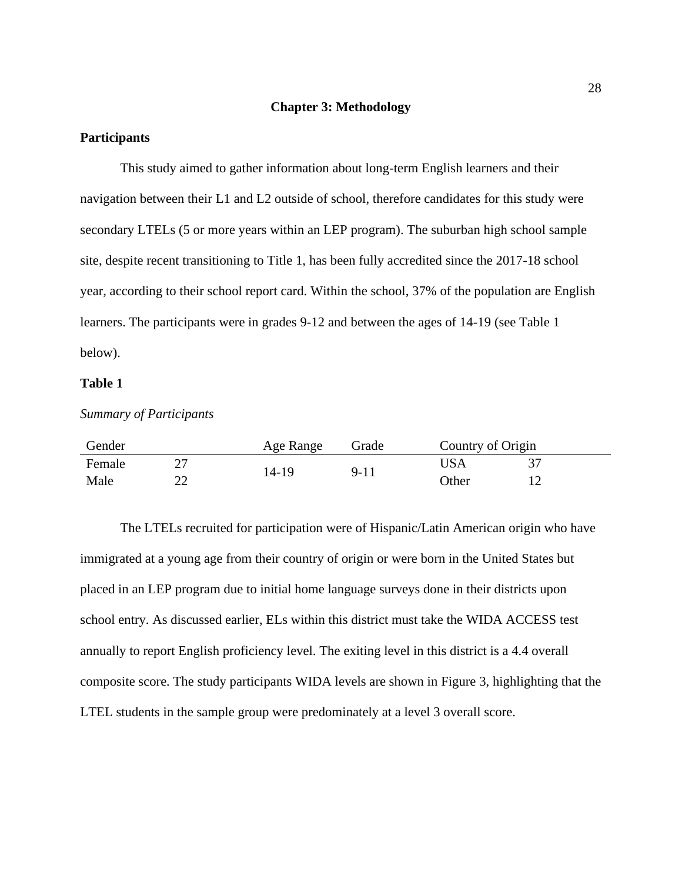#### **Chapter 3: Methodology**

## <span id="page-28-1"></span><span id="page-28-0"></span>**Participants**

This study aimed to gather information about long-term English learners and their navigation between their L1 and L2 outside of school, therefore candidates for this study were secondary LTELs (5 or more years within an LEP program). The suburban high school sample site, despite recent transitioning to Title 1, has been fully accredited since the 2017-18 school year, according to their school report card. Within the school, 37% of the population are English learners. The participants were in grades 9-12 and between the ages of 14-19 (see Table 1 below).

#### **Table 1**

#### <span id="page-28-2"></span>*Summary of Participants*

| Gender |    | Age Range | Grade    | Country of Origin |  |
|--------|----|-----------|----------|-------------------|--|
| Female |    | 14-19     | $9 - 11$ | USA               |  |
| Male   | າາ |           |          | Other             |  |

The LTELs recruited for participation were of Hispanic/Latin American origin who have immigrated at a young age from their country of origin or were born in the United States but placed in an LEP program due to initial home language surveys done in their districts upon school entry. As discussed earlier, ELs within this district must take the WIDA ACCESS test annually to report English proficiency level. The exiting level in this district is a 4.4 overall composite score. The study participants WIDA levels are shown in Figure 3, highlighting that the LTEL students in the sample group were predominately at a level 3 overall score.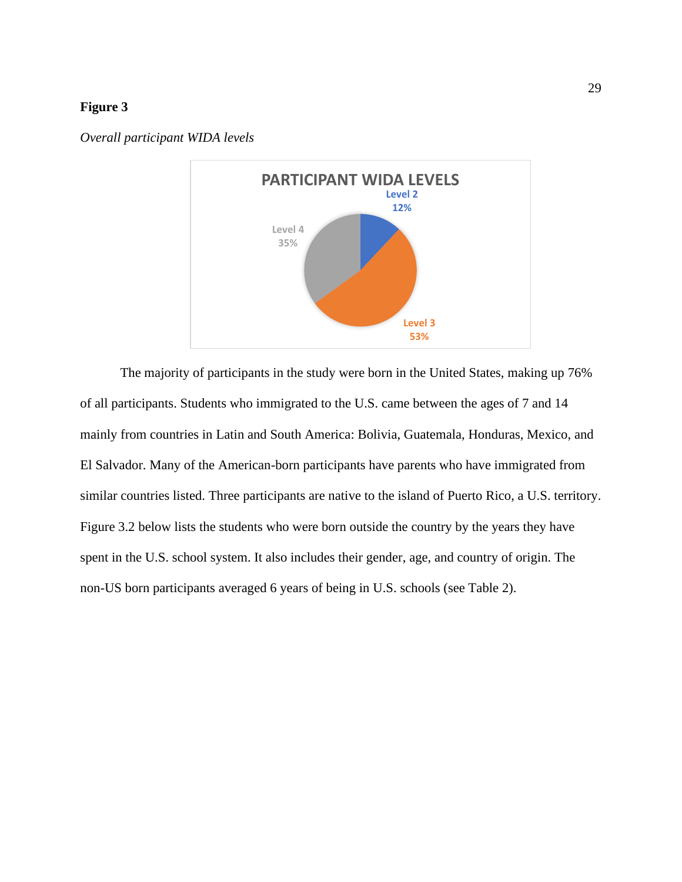

<span id="page-29-0"></span>*Overall participant WIDA levels*

The majority of participants in the study were born in the United States, making up 76% of all participants. Students who immigrated to the U.S. came between the ages of 7 and 14 mainly from countries in Latin and South America: Bolivia, Guatemala, Honduras, Mexico, and El Salvador. Many of the American-born participants have parents who have immigrated from similar countries listed. Three participants are native to the island of Puerto Rico, a U.S. territory. Figure 3.2 below lists the students who were born outside the country by the years they have spent in the U.S. school system. It also includes their gender, age, and country of origin. The non-US born participants averaged 6 years of being in U.S. schools (see Table 2).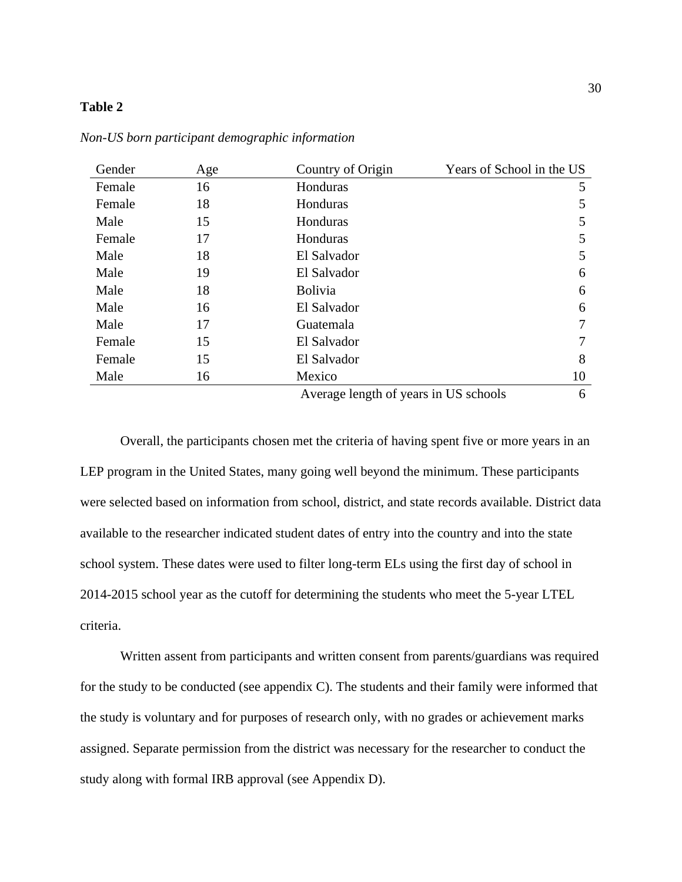## <span id="page-30-0"></span>**Table 2**

| Gender | Age | Country of Origin                     | Years of School in the US |
|--------|-----|---------------------------------------|---------------------------|
| Female | 16  | Honduras                              | 5                         |
| Female | 18  | Honduras                              | 5                         |
| Male   | 15  | Honduras                              | 5                         |
| Female | 17  | Honduras                              | 5                         |
| Male   | 18  | El Salvador                           | 5                         |
| Male   | 19  | El Salvador                           | 6                         |
| Male   | 18  | <b>Bolivia</b>                        | 6                         |
| Male   | 16  | El Salvador                           | 6                         |
| Male   | 17  | Guatemala                             | 7                         |
| Female | 15  | El Salvador                           | 7                         |
| Female | 15  | El Salvador                           | 8                         |
| Male   | 16  | Mexico                                | 10                        |
|        |     | Average length of years in US schools | 6                         |

*Non-US born participant demographic information*

Overall, the participants chosen met the criteria of having spent five or more years in an LEP program in the United States, many going well beyond the minimum. These participants were selected based on information from school, district, and state records available. District data available to the researcher indicated student dates of entry into the country and into the state school system. These dates were used to filter long-term ELs using the first day of school in 2014-2015 school year as the cutoff for determining the students who meet the 5-year LTEL criteria.

Written assent from participants and written consent from parents/guardians was required for the study to be conducted (see appendix C). The students and their family were informed that the study is voluntary and for purposes of research only, with no grades or achievement marks assigned. Separate permission from the district was necessary for the researcher to conduct the study along with formal IRB approval (see Appendix D).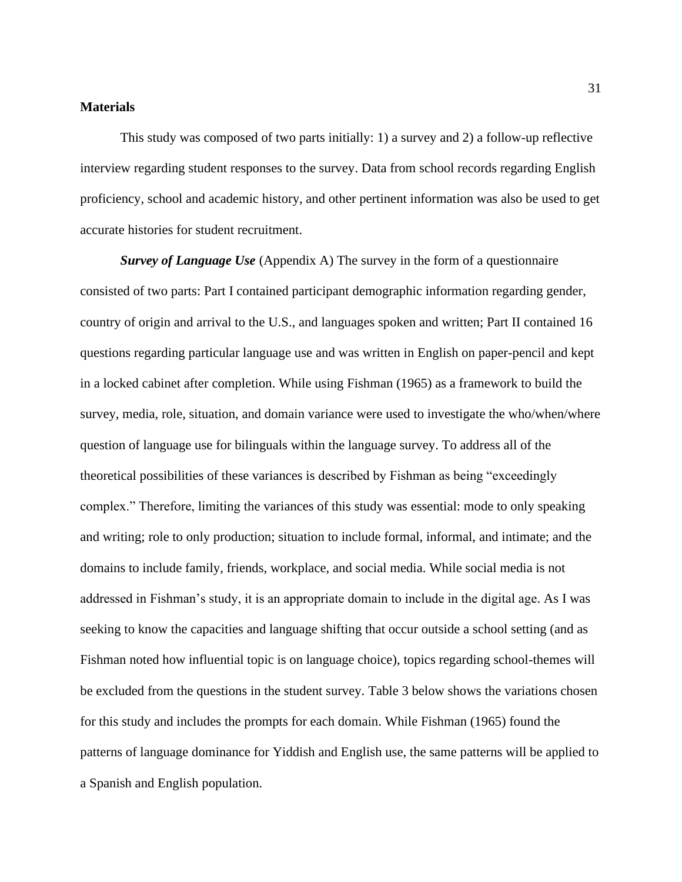### <span id="page-31-0"></span>**Materials**

This study was composed of two parts initially: 1) a survey and 2) a follow-up reflective interview regarding student responses to the survey. Data from school records regarding English proficiency, school and academic history, and other pertinent information was also be used to get accurate histories for student recruitment.

<span id="page-31-1"></span>*Survey of Language Use* (Appendix A) The survey in the form of a questionnaire consisted of two parts: Part I contained participant demographic information regarding gender, country of origin and arrival to the U.S., and languages spoken and written; Part II contained 16 questions regarding particular language use and was written in English on paper-pencil and kept in a locked cabinet after completion. While using Fishman (1965) as a framework to build the survey, media, role, situation, and domain variance were used to investigate the who/when/where question of language use for bilinguals within the language survey. To address all of the theoretical possibilities of these variances is described by Fishman as being "exceedingly complex." Therefore, limiting the variances of this study was essential: mode to only speaking and writing; role to only production; situation to include formal, informal, and intimate; and the domains to include family, friends, workplace, and social media. While social media is not addressed in Fishman's study, it is an appropriate domain to include in the digital age. As I was seeking to know the capacities and language shifting that occur outside a school setting (and as Fishman noted how influential topic is on language choice), topics regarding school-themes will be excluded from the questions in the student survey. Table 3 below shows the variations chosen for this study and includes the prompts for each domain. While Fishman (1965) found the patterns of language dominance for Yiddish and English use, the same patterns will be applied to a Spanish and English population.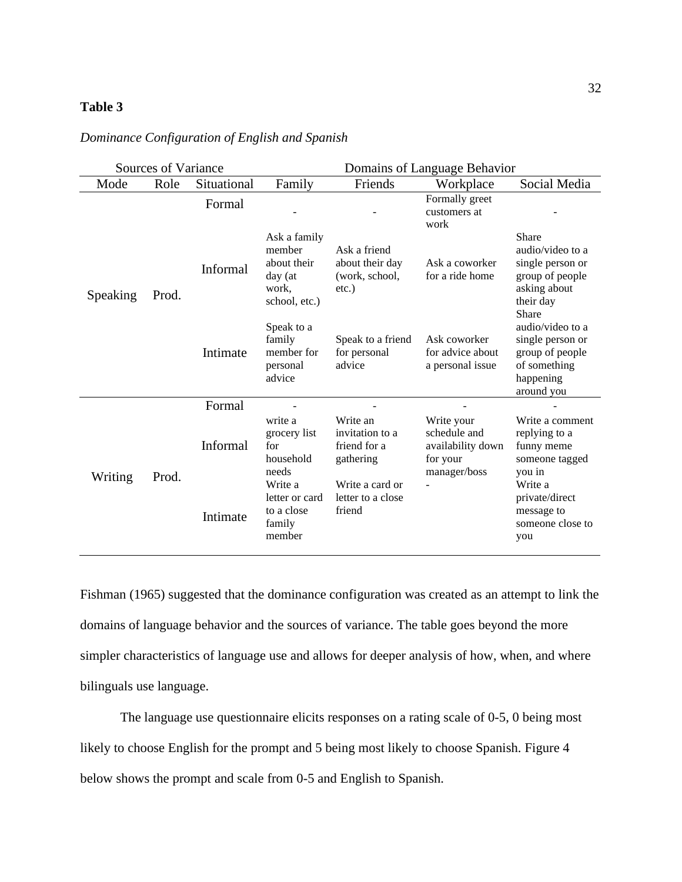## <span id="page-32-0"></span>**Table 3**

|                             | Sources of Variance |          | Domains of Language Behavior                                               |                                                               |                                                          |                                                                                                        |                                                                                                    |
|-----------------------------|---------------------|----------|----------------------------------------------------------------------------|---------------------------------------------------------------|----------------------------------------------------------|--------------------------------------------------------------------------------------------------------|----------------------------------------------------------------------------------------------------|
| Mode<br>Role<br>Situational |                     | Family   | Friends                                                                    | Workplace                                                     | Social Media                                             |                                                                                                        |                                                                                                    |
|                             | Prod.               |          | Formal                                                                     |                                                               |                                                          | Formally greet<br>customers at<br>work                                                                 |                                                                                                    |
| Speaking                    |                     | Informal | Ask a family<br>member<br>about their<br>day (at<br>work,<br>school, etc.) | Ask a friend<br>about their day<br>(work, school,<br>$etc.$ ) | Ask a coworker<br>for a ride home                        | Share<br>audio/video to a<br>single person or<br>group of people<br>asking about<br>their day<br>Share |                                                                                                    |
|                             |                     |          | Intimate                                                                   | Speak to a<br>family<br>member for<br>personal<br>advice      | Speak to a friend<br>for personal<br>advice              | Ask coworker<br>for advice about<br>a personal issue                                                   | audio/video to a<br>single person or<br>group of people<br>of something<br>happening<br>around you |
|                             | Formal              |          |                                                                            |                                                               |                                                          |                                                                                                        |                                                                                                    |
|                             | Prod.               | Writing  | Informal                                                                   | write a<br>grocery list<br>for<br>household<br>needs          | Write an<br>invitation to a<br>friend for a<br>gathering | Write your<br>schedule and<br>availability down<br>for your<br>manager/boss                            | Write a comment<br>replying to a<br>funny meme<br>someone tagged<br>you in                         |
|                             |                     |          | Intimate                                                                   | Write a<br>letter or card<br>to a close<br>family<br>member   | Write a card or<br>letter to a close<br>friend           |                                                                                                        | Write a<br>private/direct<br>message to<br>someone close to<br>you                                 |

## *Dominance Configuration of English and Spanish*

Fishman (1965) suggested that the dominance configuration was created as an attempt to link the domains of language behavior and the sources of variance. The table goes beyond the more simpler characteristics of language use and allows for deeper analysis of how, when, and where bilinguals use language.

The language use questionnaire elicits responses on a rating scale of 0-5, 0 being most likely to choose English for the prompt and 5 being most likely to choose Spanish. Figure 4 below shows the prompt and scale from 0-5 and English to Spanish.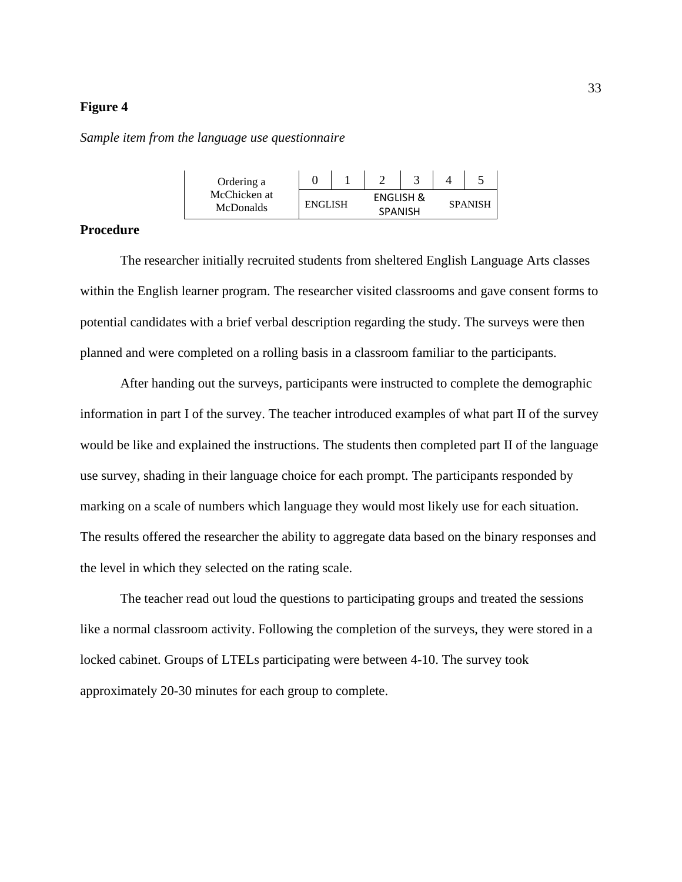<span id="page-33-1"></span>*Sample item from the language use questionnaire*

| Ordering a                       |                                               |  |  |  |                |
|----------------------------------|-----------------------------------------------|--|--|--|----------------|
| McChicken at<br><b>McDonalds</b> | ENGLISH &<br><b>ENGLISH</b><br><b>SPANISH</b> |  |  |  | <b>SPANISH</b> |

## <span id="page-33-0"></span>**Procedure**

The researcher initially recruited students from sheltered English Language Arts classes within the English learner program. The researcher visited classrooms and gave consent forms to potential candidates with a brief verbal description regarding the study. The surveys were then planned and were completed on a rolling basis in a classroom familiar to the participants.

After handing out the surveys, participants were instructed to complete the demographic information in part I of the survey. The teacher introduced examples of what part II of the survey would be like and explained the instructions. The students then completed part II of the language use survey, shading in their language choice for each prompt. The participants responded by marking on a scale of numbers which language they would most likely use for each situation. The results offered the researcher the ability to aggregate data based on the binary responses and the level in which they selected on the rating scale.

The teacher read out loud the questions to participating groups and treated the sessions like a normal classroom activity. Following the completion of the surveys, they were stored in a locked cabinet. Groups of LTELs participating were between 4-10. The survey took approximately 20-30 minutes for each group to complete.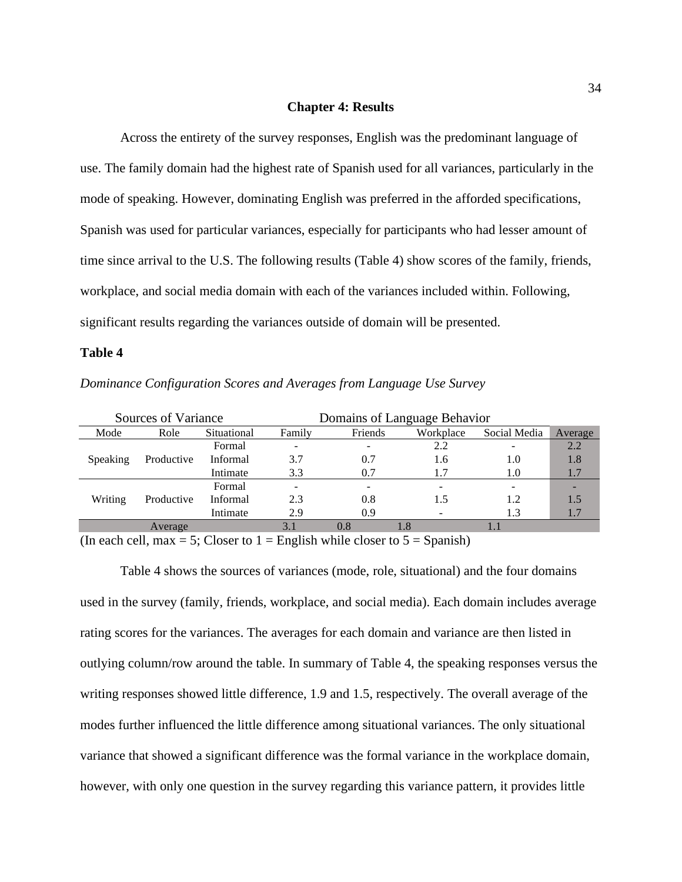### **Chapter 4: Results**

<span id="page-34-0"></span>Across the entirety of the survey responses, English was the predominant language of use. The family domain had the highest rate of Spanish used for all variances, particularly in the mode of speaking. However, dominating English was preferred in the afforded specifications, Spanish was used for particular variances, especially for participants who had lesser amount of time since arrival to the U.S. The following results (Table 4) show scores of the family, friends, workplace, and social media domain with each of the variances included within. Following, significant results regarding the variances outside of domain will be presented.

#### <span id="page-34-1"></span>**Table 4**

|  | Dominance Configuration Scores and Averages from Language Use Survey |  |  |
|--|----------------------------------------------------------------------|--|--|
|  |                                                                      |  |  |

|          | Sources of Variance |             | Domains of Language Behavior |         |     |      |     |
|----------|---------------------|-------------|------------------------------|---------|-----|------|-----|
| Mode     | Role                | Situational | Family                       | Average |     |      |     |
|          |                     | Formal      |                              |         | 2.2 |      | 2.2 |
| Speaking | Productive          | Informal    | 3.7                          | 0.7     | 1.6 | 1.0  | 1.8 |
|          |                     | Intimate    | 3.3                          | 0.7     | 1.7 | 1.0  | 1.7 |
| Writing  | Productive          | Formal      |                              | -       |     |      |     |
|          |                     | Informal    | 2.3                          | 0.8     | 1.5 | 1.2. | 1.5 |
|          |                     | Intimate    | 2.9                          | 0.9     |     | 1.3  |     |
| Average  |                     |             | 0.8                          | 1.8     |     |      |     |

(In each cell, max = 5; Closer to  $1 =$  English while closer to  $5 =$  Spanish)

Table 4 shows the sources of variances (mode, role, situational) and the four domains used in the survey (family, friends, workplace, and social media). Each domain includes average rating scores for the variances. The averages for each domain and variance are then listed in outlying column/row around the table. In summary of Table 4, the speaking responses versus the writing responses showed little difference, 1.9 and 1.5, respectively. The overall average of the modes further influenced the little difference among situational variances. The only situational variance that showed a significant difference was the formal variance in the workplace domain, however, with only one question in the survey regarding this variance pattern, it provides little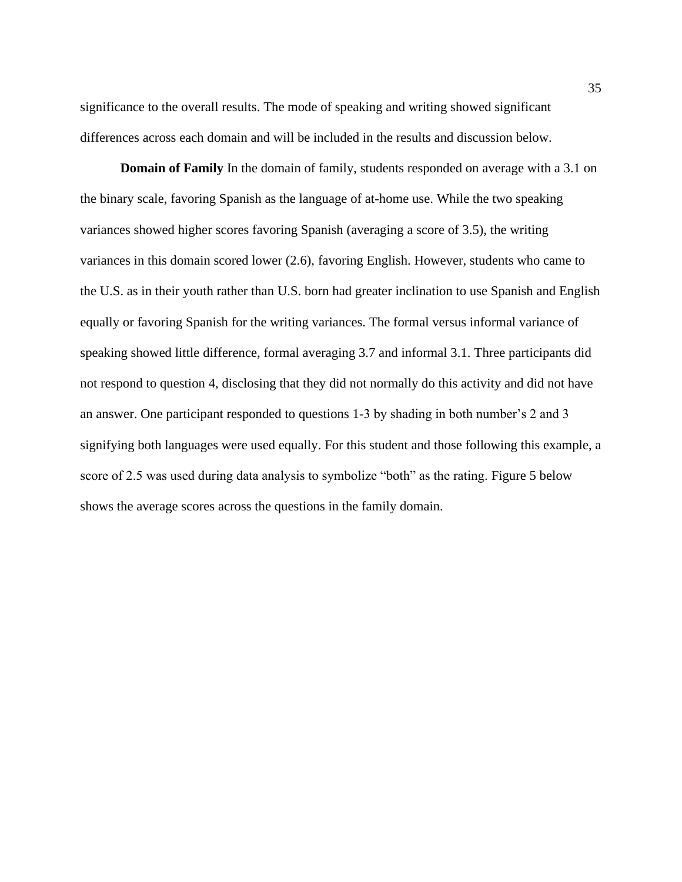significance to the overall results. The mode of speaking and writing showed significant differences across each domain and will be included in the results and discussion below.

**Domain of Family** In the domain of family, students responded on average with a 3.1 on the binary scale, favoring Spanish as the language of at-home use. While the two speaking variances showed higher scores favoring Spanish (averaging a score of 3.5), the writing variances in this domain scored lower (2.6), favoring English. However, students who came to the U.S. as in their youth rather than U.S. born had greater inclination to use Spanish and English equally or favoring Spanish for the writing variances. The formal versus informal variance of speaking showed little difference, formal averaging 3.7 and informal 3.1. Three participants did not respond to question 4, disclosing that they did not normally do this activity and did not have an answer. One participant responded to questions 1-3 by shading in both number's 2 and 3 signifying both languages were used equally. For this student and those following this example, a score of 2.5 was used during data analysis to symbolize "both" as the rating. Figure 5 below shows the average scores across the questions in the family domain.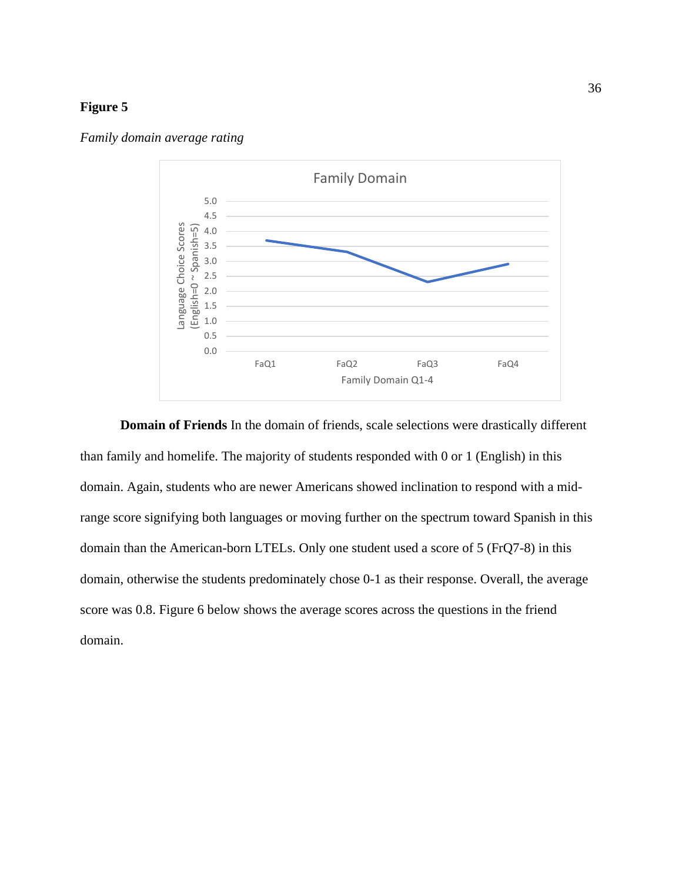<span id="page-36-0"></span>



**Domain of Friends** In the domain of friends, scale selections were drastically different than family and homelife. The majority of students responded with 0 or 1 (English) in this domain. Again, students who are newer Americans showed inclination to respond with a midrange score signifying both languages or moving further on the spectrum toward Spanish in this domain than the American-born LTELs. Only one student used a score of 5 (FrQ7-8) in this domain, otherwise the students predominately chose 0-1 as their response. Overall, the average score was 0.8. Figure 6 below shows the average scores across the questions in the friend domain.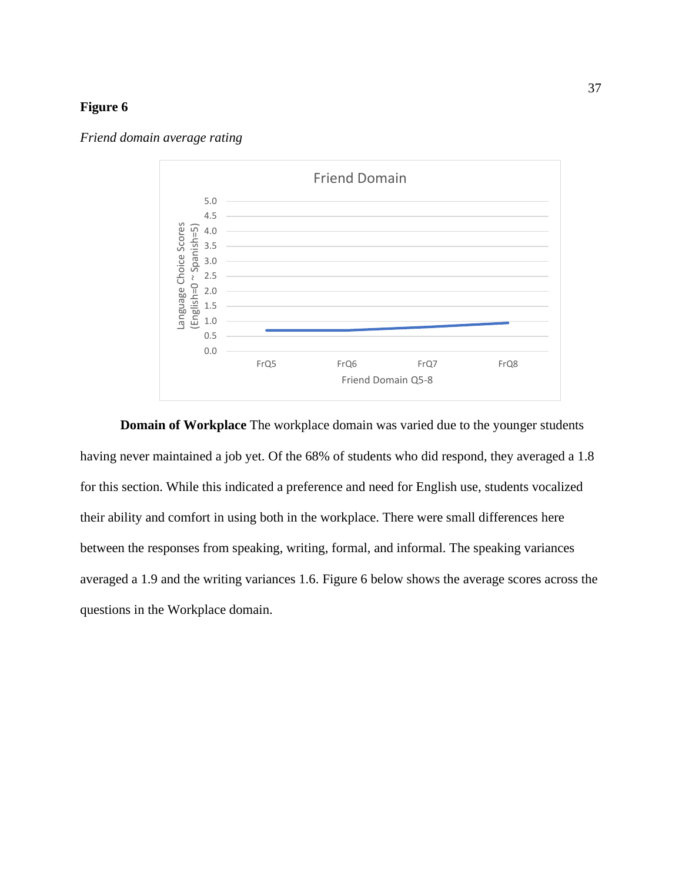<span id="page-37-0"></span>*Friend domain average rating*



**Domain of Workplace** The workplace domain was varied due to the younger students having never maintained a job yet. Of the 68% of students who did respond, they averaged a 1.8 for this section. While this indicated a preference and need for English use, students vocalized their ability and comfort in using both in the workplace. There were small differences here between the responses from speaking, writing, formal, and informal. The speaking variances averaged a 1.9 and the writing variances 1.6. Figure 6 below shows the average scores across the questions in the Workplace domain.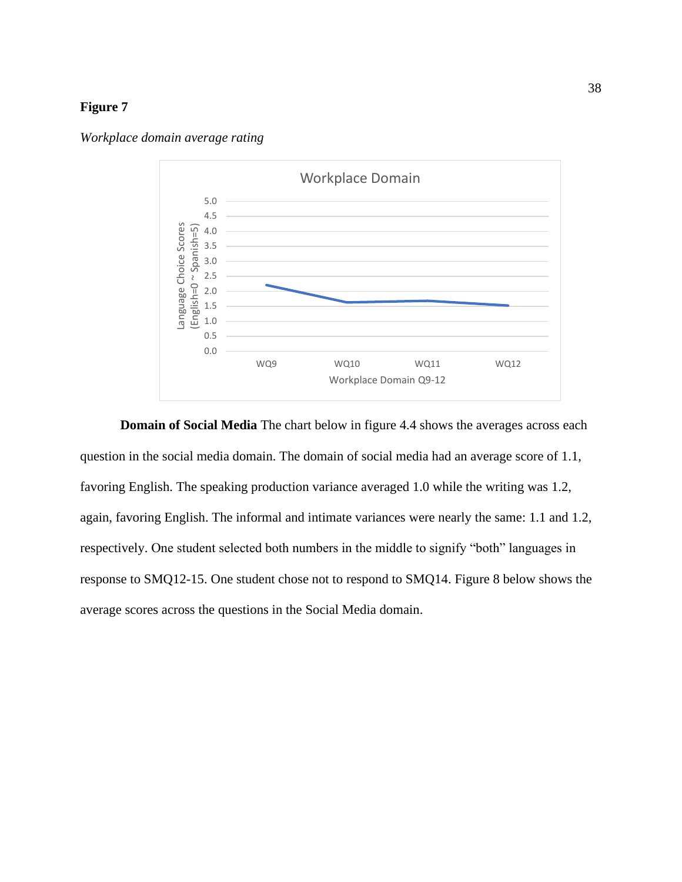

<span id="page-38-0"></span>*Workplace domain average rating*

**Domain of Social Media** The chart below in figure 4.4 shows the averages across each question in the social media domain. The domain of social media had an average score of 1.1, favoring English. The speaking production variance averaged 1.0 while the writing was 1.2, again, favoring English. The informal and intimate variances were nearly the same: 1.1 and 1.2, respectively. One student selected both numbers in the middle to signify "both" languages in response to SMQ12-15. One student chose not to respond to SMQ14. Figure 8 below shows the average scores across the questions in the Social Media domain.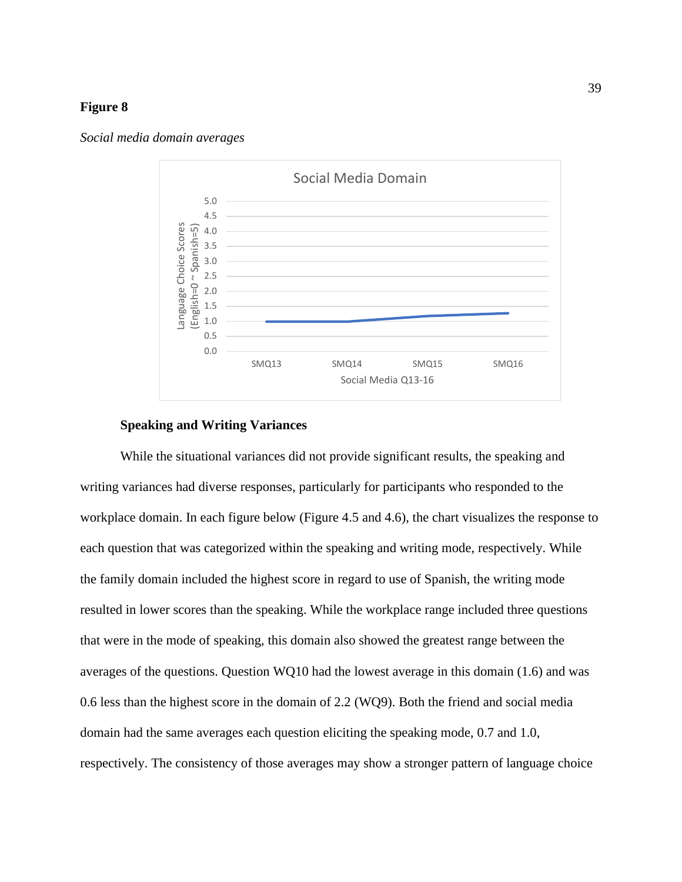<span id="page-39-0"></span>



### **Speaking and Writing Variances**

While the situational variances did not provide significant results, the speaking and writing variances had diverse responses, particularly for participants who responded to the workplace domain. In each figure below (Figure 4.5 and 4.6), the chart visualizes the response to each question that was categorized within the speaking and writing mode, respectively. While the family domain included the highest score in regard to use of Spanish, the writing mode resulted in lower scores than the speaking. While the workplace range included three questions that were in the mode of speaking, this domain also showed the greatest range between the averages of the questions. Question WQ10 had the lowest average in this domain (1.6) and was 0.6 less than the highest score in the domain of 2.2 (WQ9). Both the friend and social media domain had the same averages each question eliciting the speaking mode, 0.7 and 1.0, respectively. The consistency of those averages may show a stronger pattern of language choice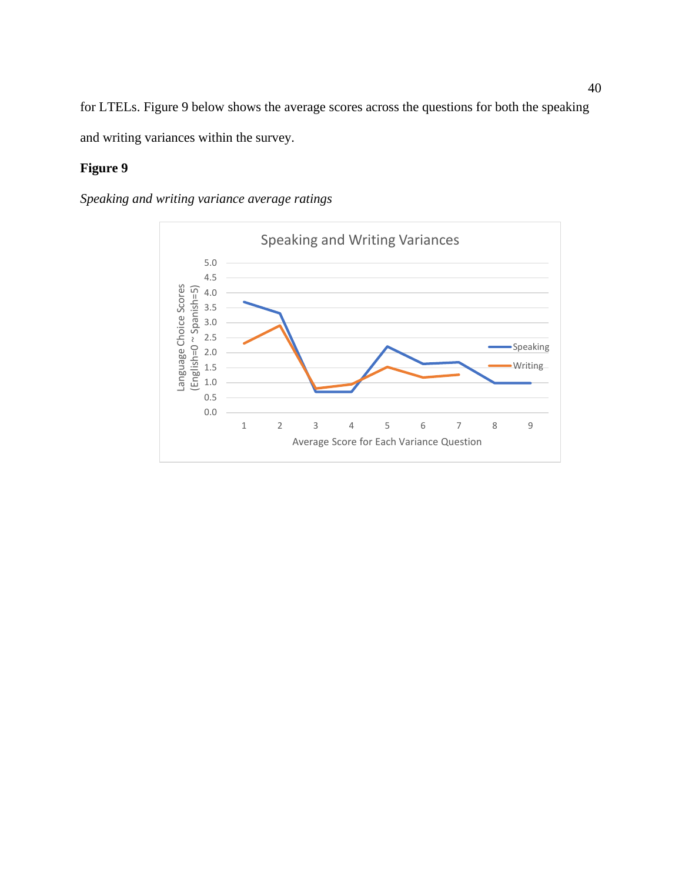for LTELs. Figure 9 below shows the average scores across the questions for both the speaking and writing variances within the survey.

## **Figure 9**

## <span id="page-40-0"></span>*Speaking and writing variance average ratings*

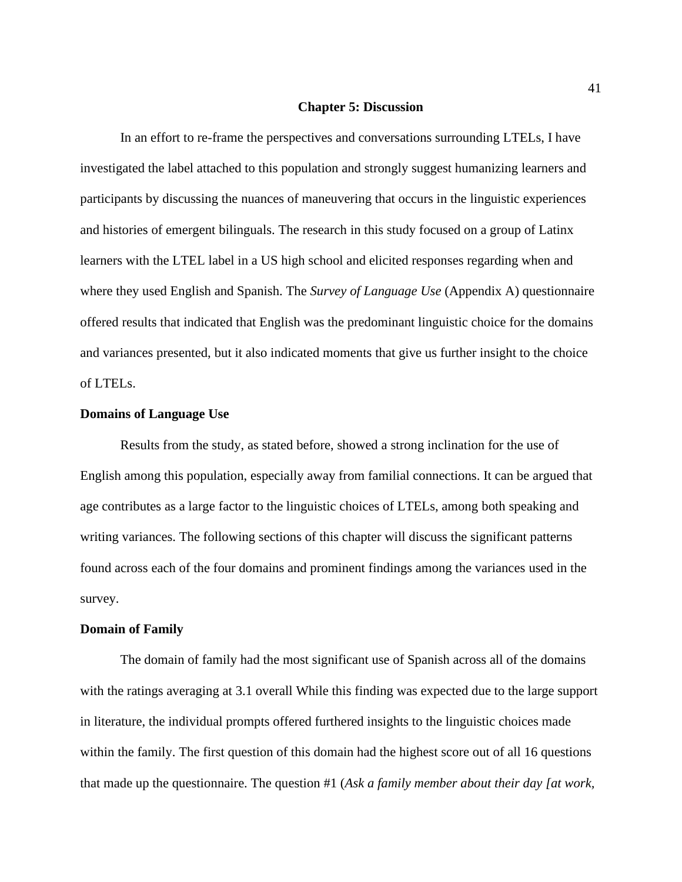#### **Chapter 5: Discussion**

In an effort to re-frame the perspectives and conversations surrounding LTELs, I have investigated the label attached to this population and strongly suggest humanizing learners and participants by discussing the nuances of maneuvering that occurs in the linguistic experiences and histories of emergent bilinguals. The research in this study focused on a group of Latinx learners with the LTEL label in a US high school and elicited responses regarding when and where they used English and Spanish. The *Survey of Language Use* (Appendix A) questionnaire offered results that indicated that English was the predominant linguistic choice for the domains and variances presented, but it also indicated moments that give us further insight to the choice of LTELs.

### <span id="page-41-0"></span>**Domains of Language Use**

Results from the study, as stated before, showed a strong inclination for the use of English among this population, especially away from familial connections. It can be argued that age contributes as a large factor to the linguistic choices of LTELs, among both speaking and writing variances. The following sections of this chapter will discuss the significant patterns found across each of the four domains and prominent findings among the variances used in the survey.

### <span id="page-41-1"></span>**Domain of Family**

The domain of family had the most significant use of Spanish across all of the domains with the ratings averaging at 3.1 overall While this finding was expected due to the large support in literature, the individual prompts offered furthered insights to the linguistic choices made within the family. The first question of this domain had the highest score out of all 16 questions that made up the questionnaire. The question #1 (*Ask a family member about their day [at work,*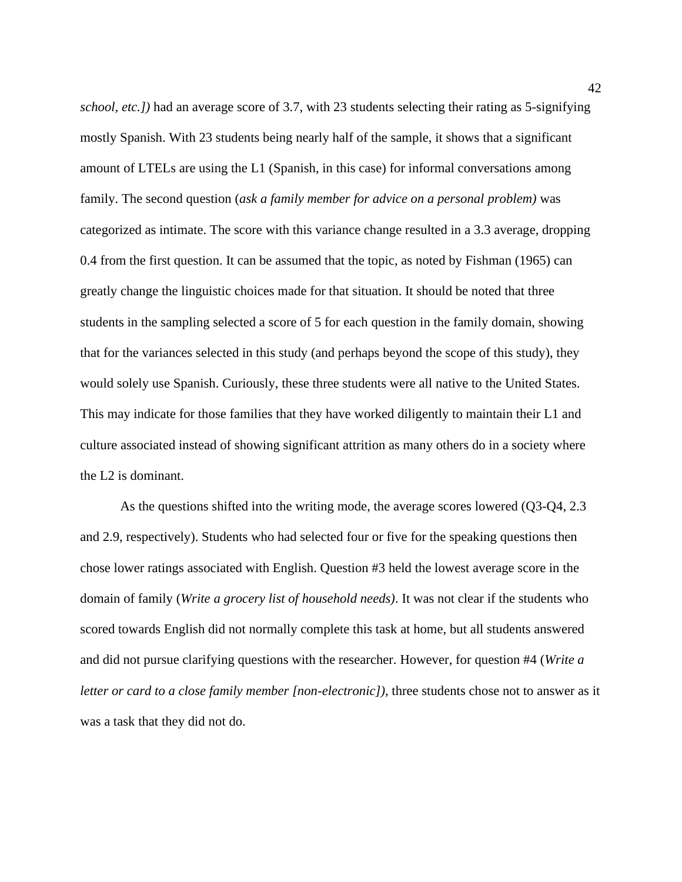*school, etc.])* had an average score of 3.7, with 23 students selecting their rating as 5-signifying mostly Spanish. With 23 students being nearly half of the sample, it shows that a significant amount of LTELs are using the L1 (Spanish, in this case) for informal conversations among family. The second question (*ask a family member for advice on a personal problem)* was categorized as intimate. The score with this variance change resulted in a 3.3 average, dropping 0.4 from the first question. It can be assumed that the topic, as noted by Fishman (1965) can greatly change the linguistic choices made for that situation. It should be noted that three students in the sampling selected a score of 5 for each question in the family domain, showing that for the variances selected in this study (and perhaps beyond the scope of this study), they would solely use Spanish. Curiously, these three students were all native to the United States. This may indicate for those families that they have worked diligently to maintain their L1 and culture associated instead of showing significant attrition as many others do in a society where the L2 is dominant.

As the questions shifted into the writing mode, the average scores lowered (Q3-Q4, 2.3 and 2.9, respectively). Students who had selected four or five for the speaking questions then chose lower ratings associated with English. Question #3 held the lowest average score in the domain of family (*Write a grocery list of household needs)*. It was not clear if the students who scored towards English did not normally complete this task at home, but all students answered and did not pursue clarifying questions with the researcher. However, for question #4 (*Write a letter or card to a close family member [non-electronic]*), three students chose not to answer as it was a task that they did not do.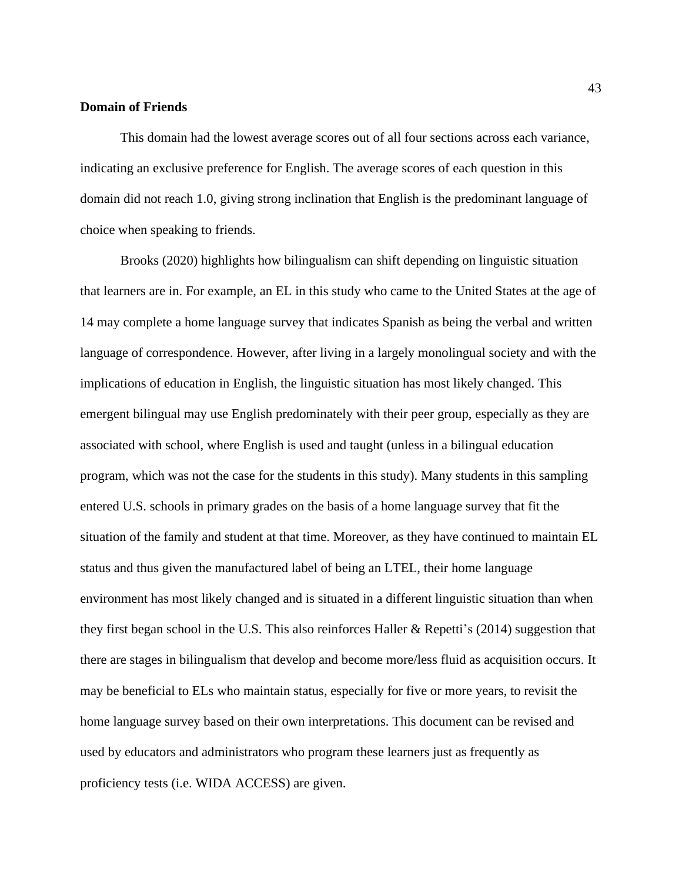### <span id="page-43-0"></span>**Domain of Friends**

This domain had the lowest average scores out of all four sections across each variance, indicating an exclusive preference for English. The average scores of each question in this domain did not reach 1.0, giving strong inclination that English is the predominant language of choice when speaking to friends.

Brooks (2020) highlights how bilingualism can shift depending on linguistic situation that learners are in. For example, an EL in this study who came to the United States at the age of 14 may complete a home language survey that indicates Spanish as being the verbal and written language of correspondence. However, after living in a largely monolingual society and with the implications of education in English, the linguistic situation has most likely changed. This emergent bilingual may use English predominately with their peer group, especially as they are associated with school, where English is used and taught (unless in a bilingual education program, which was not the case for the students in this study). Many students in this sampling entered U.S. schools in primary grades on the basis of a home language survey that fit the situation of the family and student at that time. Moreover, as they have continued to maintain EL status and thus given the manufactured label of being an LTEL, their home language environment has most likely changed and is situated in a different linguistic situation than when they first began school in the U.S. This also reinforces Haller & Repetti's (2014) suggestion that there are stages in bilingualism that develop and become more/less fluid as acquisition occurs. It may be beneficial to ELs who maintain status, especially for five or more years, to revisit the home language survey based on their own interpretations. This document can be revised and used by educators and administrators who program these learners just as frequently as proficiency tests (i.e. WIDA ACCESS) are given.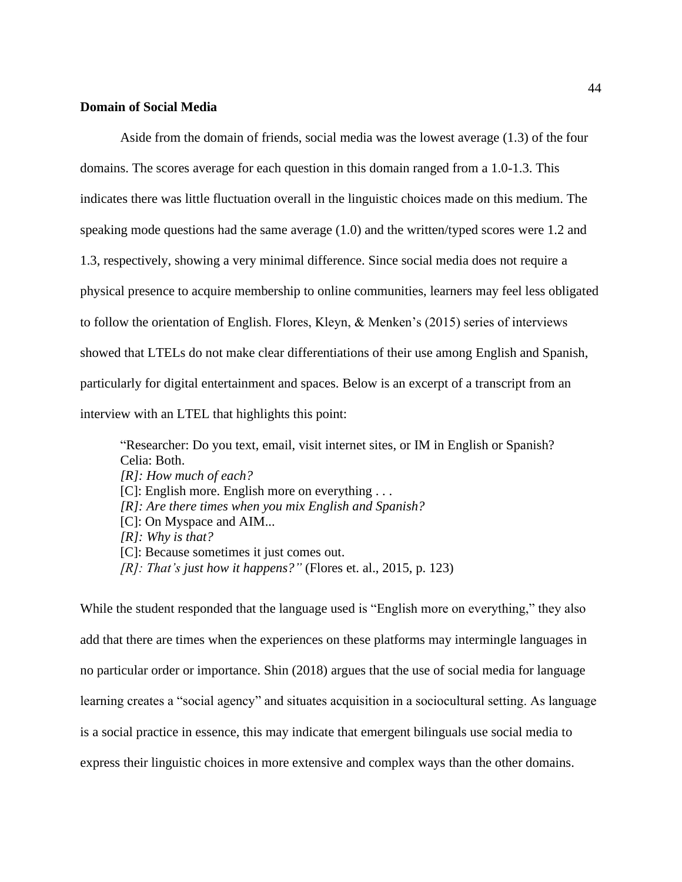## <span id="page-44-0"></span>**Domain of Social Media**

Aside from the domain of friends, social media was the lowest average (1.3) of the four domains. The scores average for each question in this domain ranged from a 1.0-1.3. This indicates there was little fluctuation overall in the linguistic choices made on this medium. The speaking mode questions had the same average (1.0) and the written/typed scores were 1.2 and 1.3, respectively, showing a very minimal difference. Since social media does not require a physical presence to acquire membership to online communities, learners may feel less obligated to follow the orientation of English. Flores, Kleyn, & Menken's (2015) series of interviews showed that LTELs do not make clear differentiations of their use among English and Spanish, particularly for digital entertainment and spaces. Below is an excerpt of a transcript from an interview with an LTEL that highlights this point:

"Researcher: Do you text, email, visit internet sites, or IM in English or Spanish? Celia: Both. *[R]: How much of each?*  [C]: English more. English more on everything . . . *[R]: Are there times when you mix English and Spanish?* [C]: On Myspace and AIM... *[R]: Why is that?* [C]: Because sometimes it just comes out. *[R]: That's just how it happens?"* (Flores et. al., 2015, p. 123)

While the student responded that the language used is "English more on everything," they also add that there are times when the experiences on these platforms may intermingle languages in no particular order or importance. Shin (2018) argues that the use of social media for language learning creates a "social agency" and situates acquisition in a sociocultural setting. As language is a social practice in essence, this may indicate that emergent bilinguals use social media to express their linguistic choices in more extensive and complex ways than the other domains.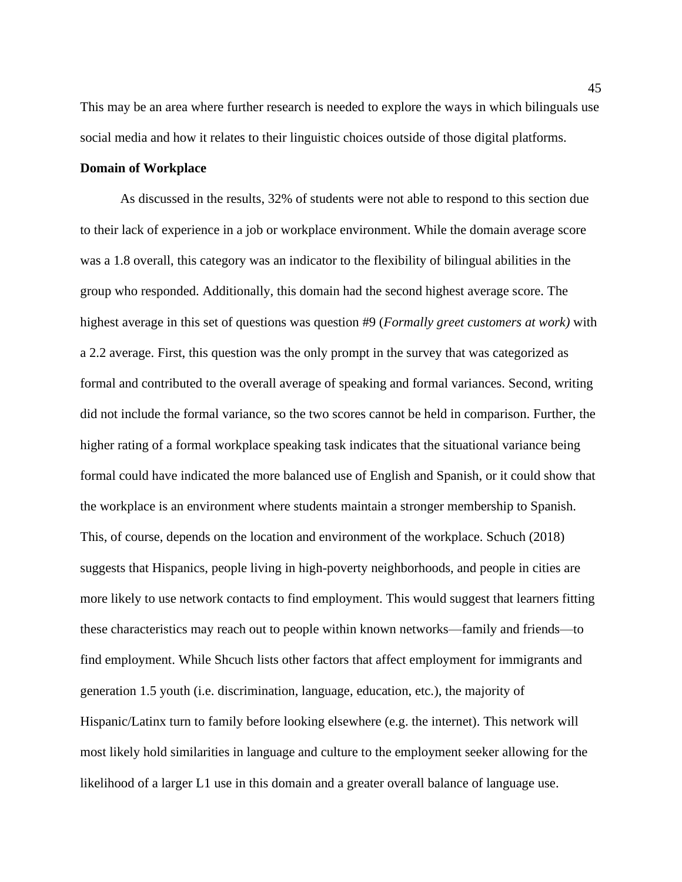This may be an area where further research is needed to explore the ways in which bilinguals use social media and how it relates to their linguistic choices outside of those digital platforms.

### <span id="page-45-0"></span>**Domain of Workplace**

As discussed in the results, 32% of students were not able to respond to this section due to their lack of experience in a job or workplace environment. While the domain average score was a 1.8 overall, this category was an indicator to the flexibility of bilingual abilities in the group who responded. Additionally, this domain had the second highest average score. The highest average in this set of questions was question #9 (*Formally greet customers at work)* with a 2.2 average. First, this question was the only prompt in the survey that was categorized as formal and contributed to the overall average of speaking and formal variances. Second, writing did not include the formal variance, so the two scores cannot be held in comparison. Further, the higher rating of a formal workplace speaking task indicates that the situational variance being formal could have indicated the more balanced use of English and Spanish, or it could show that the workplace is an environment where students maintain a stronger membership to Spanish. This, of course, depends on the location and environment of the workplace. Schuch (2018) suggests that Hispanics, people living in high-poverty neighborhoods, and people in cities are more likely to use network contacts to find employment. This would suggest that learners fitting these characteristics may reach out to people within known networks—family and friends—to find employment. While Shcuch lists other factors that affect employment for immigrants and generation 1.5 youth (i.e. discrimination, language, education, etc.), the majority of Hispanic/Latinx turn to family before looking elsewhere (e.g. the internet). This network will most likely hold similarities in language and culture to the employment seeker allowing for the likelihood of a larger L1 use in this domain and a greater overall balance of language use.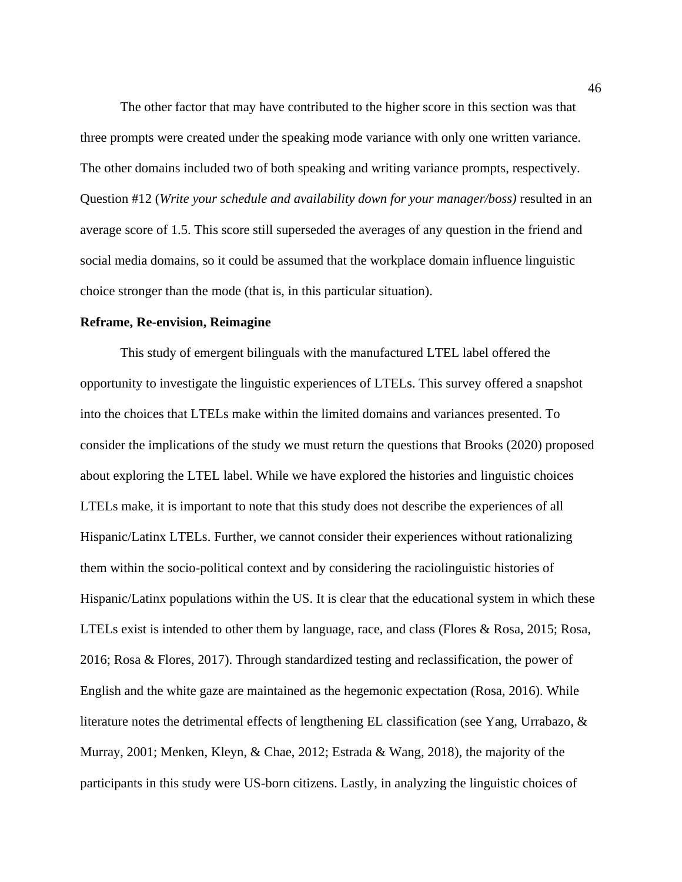The other factor that may have contributed to the higher score in this section was that three prompts were created under the speaking mode variance with only one written variance. The other domains included two of both speaking and writing variance prompts, respectively. Question #12 (*Write your schedule and availability down for your manager/boss)* resulted in an average score of 1.5. This score still superseded the averages of any question in the friend and social media domains, so it could be assumed that the workplace domain influence linguistic choice stronger than the mode (that is, in this particular situation).

#### <span id="page-46-0"></span>**Reframe, Re-envision, Reimagine**

This study of emergent bilinguals with the manufactured LTEL label offered the opportunity to investigate the linguistic experiences of LTELs. This survey offered a snapshot into the choices that LTELs make within the limited domains and variances presented. To consider the implications of the study we must return the questions that Brooks (2020) proposed about exploring the LTEL label. While we have explored the histories and linguistic choices LTELs make, it is important to note that this study does not describe the experiences of all Hispanic/Latinx LTELs. Further, we cannot consider their experiences without rationalizing them within the socio-political context and by considering the raciolinguistic histories of Hispanic/Latinx populations within the US. It is clear that the educational system in which these LTELs exist is intended to other them by language, race, and class (Flores & Rosa, 2015; Rosa, 2016; Rosa & Flores, 2017). Through standardized testing and reclassification, the power of English and the white gaze are maintained as the hegemonic expectation (Rosa, 2016). While literature notes the detrimental effects of lengthening EL classification (see Yang, Urrabazo,  $\&$ Murray, 2001; Menken, Kleyn, & Chae, 2012; Estrada & Wang, 2018), the majority of the participants in this study were US-born citizens. Lastly, in analyzing the linguistic choices of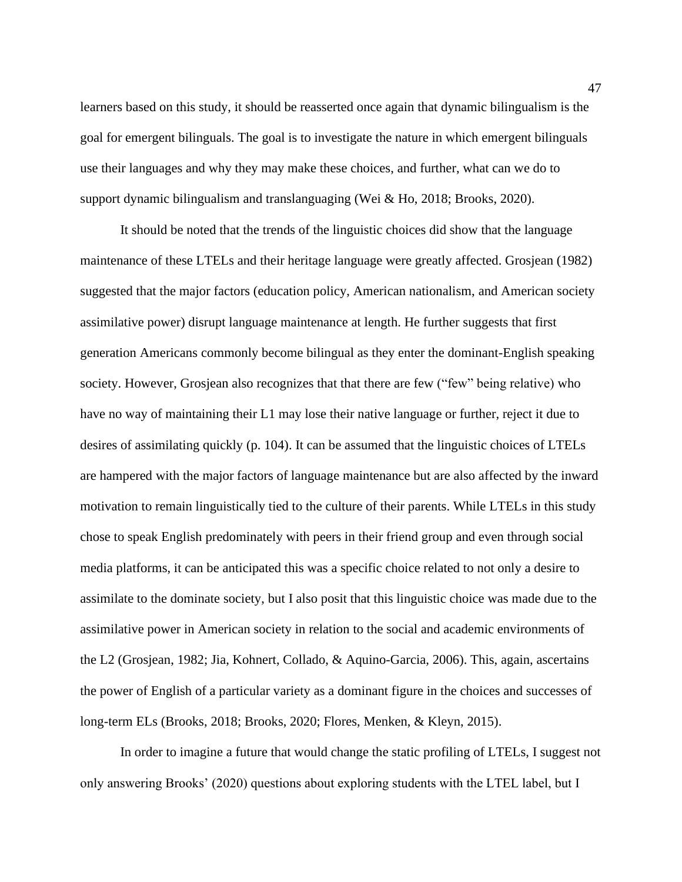learners based on this study, it should be reasserted once again that dynamic bilingualism is the goal for emergent bilinguals. The goal is to investigate the nature in which emergent bilinguals use their languages and why they may make these choices, and further, what can we do to support dynamic bilingualism and translanguaging (Wei & Ho, 2018; Brooks, 2020).

It should be noted that the trends of the linguistic choices did show that the language maintenance of these LTELs and their heritage language were greatly affected. Grosjean (1982) suggested that the major factors (education policy, American nationalism, and American society assimilative power) disrupt language maintenance at length. He further suggests that first generation Americans commonly become bilingual as they enter the dominant-English speaking society. However, Grosjean also recognizes that that there are few ("few" being relative) who have no way of maintaining their L1 may lose their native language or further, reject it due to desires of assimilating quickly (p. 104). It can be assumed that the linguistic choices of LTELs are hampered with the major factors of language maintenance but are also affected by the inward motivation to remain linguistically tied to the culture of their parents. While LTELs in this study chose to speak English predominately with peers in their friend group and even through social media platforms, it can be anticipated this was a specific choice related to not only a desire to assimilate to the dominate society, but I also posit that this linguistic choice was made due to the assimilative power in American society in relation to the social and academic environments of the L2 (Grosjean, 1982; Jia, Kohnert, Collado, & Aquino-Garcia, 2006). This, again, ascertains the power of English of a particular variety as a dominant figure in the choices and successes of long-term ELs (Brooks, 2018; Brooks, 2020; Flores, Menken, & Kleyn, 2015).

In order to imagine a future that would change the static profiling of LTELs, I suggest not only answering Brooks' (2020) questions about exploring students with the LTEL label, but I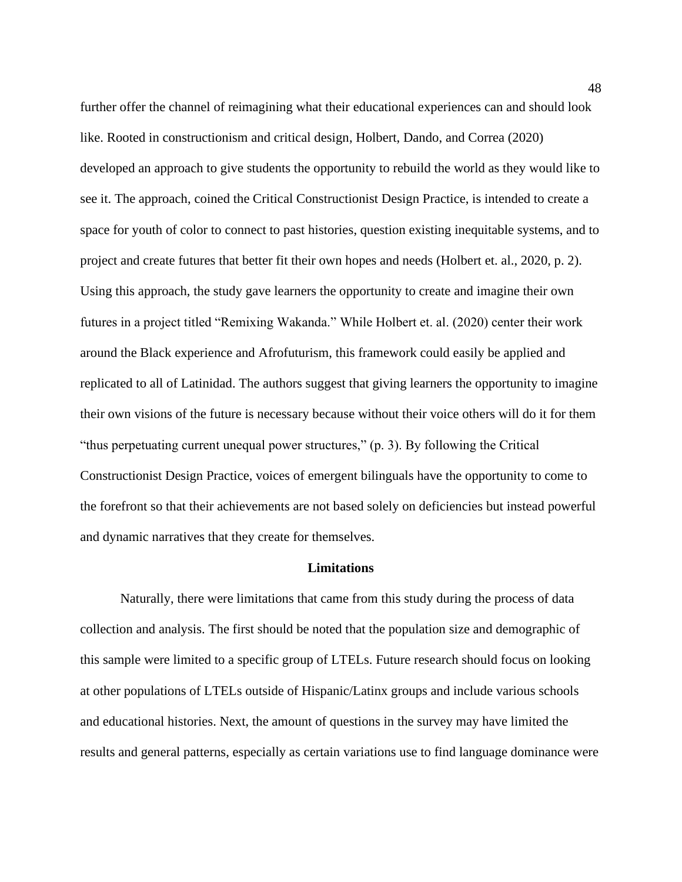further offer the channel of reimagining what their educational experiences can and should look like. Rooted in constructionism and critical design, Holbert, Dando, and Correa (2020) developed an approach to give students the opportunity to rebuild the world as they would like to see it. The approach, coined the Critical Constructionist Design Practice, is intended to create a space for youth of color to connect to past histories, question existing inequitable systems, and to project and create futures that better fit their own hopes and needs (Holbert et. al., 2020, p. 2). Using this approach, the study gave learners the opportunity to create and imagine their own futures in a project titled "Remixing Wakanda." While Holbert et. al. (2020) center their work around the Black experience and Afrofuturism, this framework could easily be applied and replicated to all of Latinidad. The authors suggest that giving learners the opportunity to imagine their own visions of the future is necessary because without their voice others will do it for them "thus perpetuating current unequal power structures," (p. 3). By following the Critical Constructionist Design Practice, voices of emergent bilinguals have the opportunity to come to the forefront so that their achievements are not based solely on deficiencies but instead powerful and dynamic narratives that they create for themselves.

#### **Limitations**

<span id="page-48-0"></span>Naturally, there were limitations that came from this study during the process of data collection and analysis. The first should be noted that the population size and demographic of this sample were limited to a specific group of LTELs. Future research should focus on looking at other populations of LTELs outside of Hispanic/Latinx groups and include various schools and educational histories. Next, the amount of questions in the survey may have limited the results and general patterns, especially as certain variations use to find language dominance were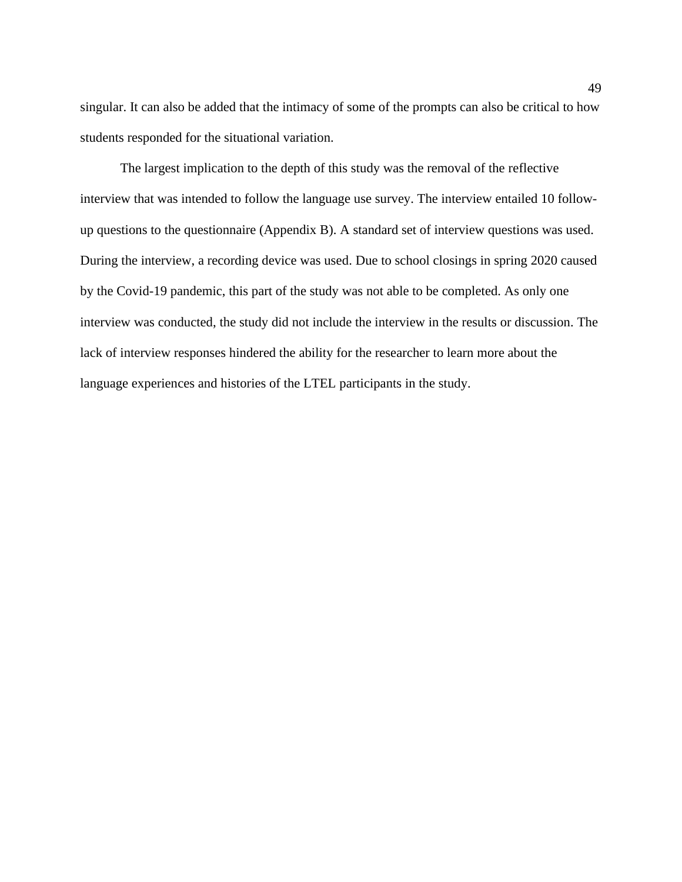singular. It can also be added that the intimacy of some of the prompts can also be critical to how students responded for the situational variation.

The largest implication to the depth of this study was the removal of the reflective interview that was intended to follow the language use survey. The interview entailed 10 followup questions to the questionnaire (Appendix B). A standard set of interview questions was used. During the interview, a recording device was used. Due to school closings in spring 2020 caused by the Covid-19 pandemic, this part of the study was not able to be completed. As only one interview was conducted, the study did not include the interview in the results or discussion. The lack of interview responses hindered the ability for the researcher to learn more about the language experiences and histories of the LTEL participants in the study.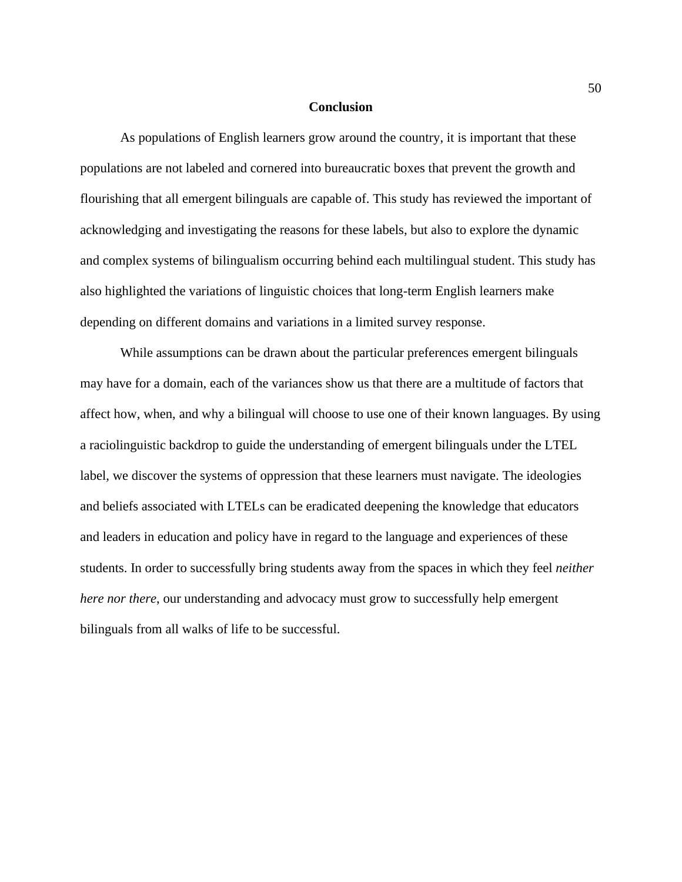#### **Conclusion**

<span id="page-50-0"></span>As populations of English learners grow around the country, it is important that these populations are not labeled and cornered into bureaucratic boxes that prevent the growth and flourishing that all emergent bilinguals are capable of. This study has reviewed the important of acknowledging and investigating the reasons for these labels, but also to explore the dynamic and complex systems of bilingualism occurring behind each multilingual student. This study has also highlighted the variations of linguistic choices that long-term English learners make depending on different domains and variations in a limited survey response.

While assumptions can be drawn about the particular preferences emergent bilinguals may have for a domain, each of the variances show us that there are a multitude of factors that affect how, when, and why a bilingual will choose to use one of their known languages. By using a raciolinguistic backdrop to guide the understanding of emergent bilinguals under the LTEL label, we discover the systems of oppression that these learners must navigate. The ideologies and beliefs associated with LTELs can be eradicated deepening the knowledge that educators and leaders in education and policy have in regard to the language and experiences of these students. In order to successfully bring students away from the spaces in which they feel *neither here nor there*, our understanding and advocacy must grow to successfully help emergent bilinguals from all walks of life to be successful.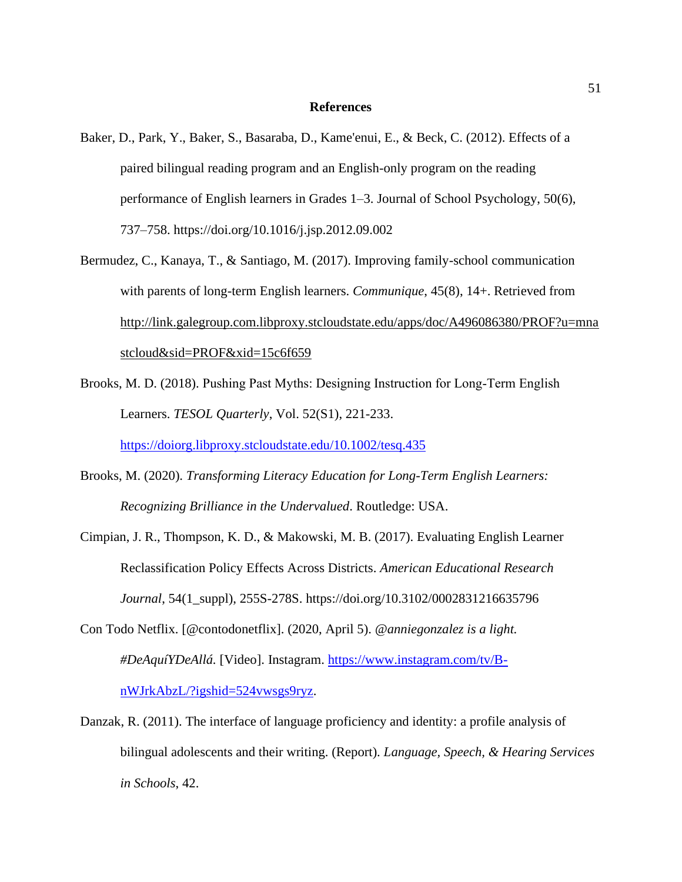#### **References**

- <span id="page-51-0"></span>Baker, D., Park, Y., Baker, S., Basaraba, D., Kame'enui, E., & Beck, C. (2012). Effects of a paired bilingual reading program and an English-only program on the reading performance of English learners in Grades 1–3. Journal of School Psychology, 50(6), 737–758. https://doi.org/10.1016/j.jsp.2012.09.002
- Bermudez, C., Kanaya, T., & Santiago, M. (2017). Improving family-school communication with parents of long-term English learners. *Communique*, 45(8), 14+. Retrieved from [http://link.galegroup.com.libproxy.stcloudstate.edu/apps/doc/A496086380/PROF?u=mna](http://link.galegroup.com.libproxy.stcloudstate.edu/apps/doc/A496086380/PROF?u=mnastcloud&sid=PROF&xid=15c6f659) [stcloud&sid=PROF&xid=15c6f659](http://link.galegroup.com.libproxy.stcloudstate.edu/apps/doc/A496086380/PROF?u=mnastcloud&sid=PROF&xid=15c6f659)
- Brooks, M. D. (2018). Pushing Past Myths: Designing Instruction for Long‐Term English Learners. *TESOL Quarterly*, Vol. 52(S1), 221-233.

<https://doiorg.libproxy.stcloudstate.edu/10.1002/tesq.435>

- Brooks, M. (2020). *Transforming Literacy Education for Long-Term English Learners: Recognizing Brilliance in the Undervalued*. Routledge: USA.
- Cimpian, J. R., Thompson, K. D., & Makowski, M. B. (2017). Evaluating English Learner Reclassification Policy Effects Across Districts. *American Educational Research Journal*, 54(1\_suppl), 255S-278S. https://doi.org/10.3102/0002831216635796
- Con Todo Netflix. [@contodonetflix]. (2020, April 5). *@anniegonzalez is a light. #DeAquíYDeAllá.* [Video]. Instagram. [https://www.instagram.com/tv/B](https://www.instagram.com/tv/B-nWJrkAbzL/?igshid=524vwsgs9ryz)[nWJrkAbzL/?igshid=524vwsgs9ryz.](https://www.instagram.com/tv/B-nWJrkAbzL/?igshid=524vwsgs9ryz)
- Danzak, R. (2011). The interface of language proficiency and identity: a profile analysis of bilingual adolescents and their writing. (Report). *Language, Speech, & Hearing Services in Schools*, 42.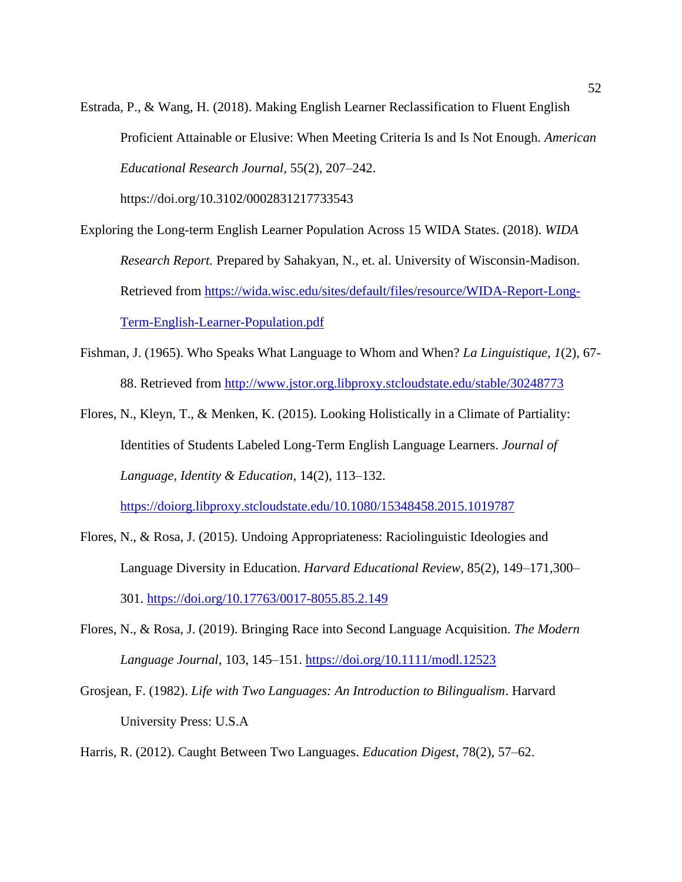Estrada, P., & Wang, H. (2018). Making English Learner Reclassification to Fluent English Proficient Attainable or Elusive: When Meeting Criteria Is and Is Not Enough. *American Educational Research Journal,* 55(2), 207–242.

https://doi.org/10.3102/0002831217733543

- Exploring the Long-term English Learner Population Across 15 WIDA States. (2018). *WIDA Research Report.* Prepared by Sahakyan, N., et. al. University of Wisconsin-Madison. Retrieved from [https://wida.wisc.edu/sites/default/files/resource/WIDA-Report-Long-](https://wida.wisc.edu/sites/default/files/resource/WIDA-Report-Long-Term-English-Learner-Population.pdf)[Term-English-Learner-Population.pdf](https://wida.wisc.edu/sites/default/files/resource/WIDA-Report-Long-Term-English-Learner-Population.pdf)
- Fishman, J. (1965). Who Speaks What Language to Whom and When? *La Linguistique, 1*(2), 67- 88. Retrieved from<http://www.jstor.org.libproxy.stcloudstate.edu/stable/30248773>
- Flores, N., Kleyn, T., & Menken, K. (2015). Looking Holistically in a Climate of Partiality: Identities of Students Labeled Long-Term English Language Learners. *Journal of Language, Identity & Education*, 14(2), 113–132.

<https://doiorg.libproxy.stcloudstate.edu/10.1080/15348458.2015.1019787>

- Flores, N., & Rosa, J. (2015). Undoing Appropriateness: Raciolinguistic Ideologies and Language Diversity in Education. *Harvard Educational Review*, 85(2), 149–171,300– 301.<https://doi.org/10.17763/0017-8055.85.2.149>
- Flores, N., & Rosa, J. (2019). Bringing Race into Second Language Acquisition. *The Modern Language Journal*, 103, 145–151.<https://doi.org/10.1111/modl.12523>
- Grosjean, F. (1982). *Life with Two Languages: An Introduction to Bilingualism*. Harvard University Press: U.S.A

Harris, R. (2012). Caught Between Two Languages. *Education Digest*, 78(2), 57–62.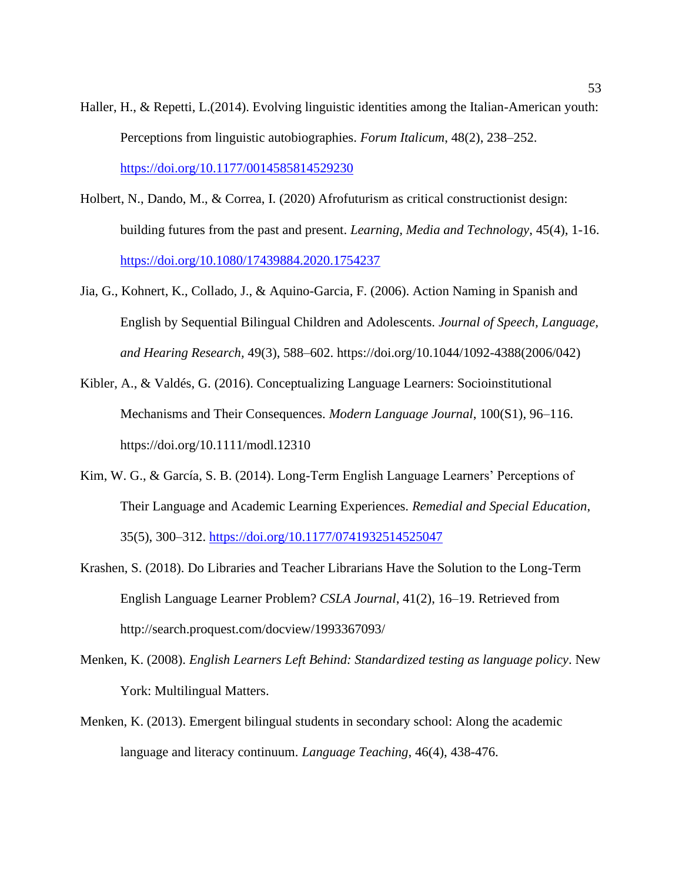- Haller, H., & Repetti, L.(2014). Evolving linguistic identities among the Italian-American youth: Perceptions from linguistic autobiographies. *Forum Italicum*, 48(2), 238–252. <https://doi.org/10.1177/0014585814529230>
- Holbert, N., Dando, M., & Correa, I. (2020) Afrofuturism as critical constructionist design: building futures from the past and present. *Learning, Media and Technology*, 45(4), 1-16. https://doi.org/10.1080/17439884.2020.1754237
- Jia, G., Kohnert, K., Collado, J., & Aquino-Garcia, F. (2006). Action Naming in Spanish and English by Sequential Bilingual Children and Adolescents. *Journal of Speech, Language, and Hearing Research,* 49(3), 588–602. https://doi.org/10.1044/1092-4388(2006/042)
- Kibler, A., & Valdés, G. (2016). Conceptualizing Language Learners: Socioinstitutional Mechanisms and Their Consequences. *Modern Language Journal*, 100(S1), 96–116. https://doi.org/10.1111/modl.12310
- Kim, W. G., & García, S. B. (2014). Long-Term English Language Learners' Perceptions of Their Language and Academic Learning Experiences. *Remedial and Special Education*, 35(5), 300–312.<https://doi.org/10.1177/0741932514525047>
- Krashen, S. (2018). Do Libraries and Teacher Librarians Have the Solution to the Long-Term English Language Learner Problem? *CSLA Journal*, 41(2), 16–19. Retrieved from http://search.proquest.com/docview/1993367093/
- Menken, K. (2008). *English Learners Left Behind: Standardized testing as language policy*. New York: Multilingual Matters.
- Menken, K. (2013). Emergent bilingual students in secondary school: Along the academic language and literacy continuum. *Language Teaching*, 46(4), 438-476.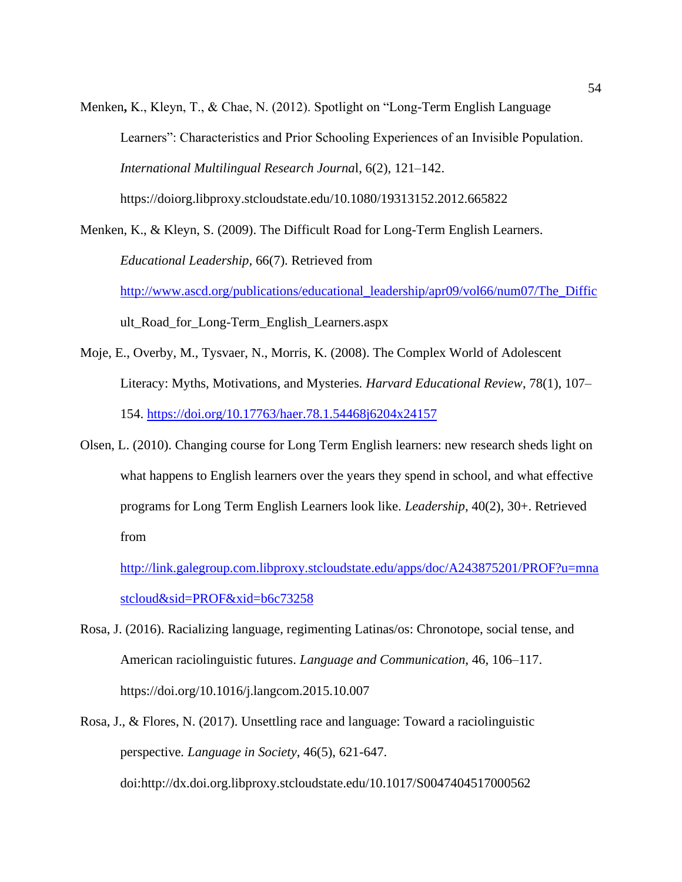Menken**,** K., Kleyn, T., & Chae, N. (2012). Spotlight on "Long-Term English Language Learners": Characteristics and Prior Schooling Experiences of an Invisible Population. *International Multilingual Research Journa*l, 6(2), 121–142. https://doiorg.libproxy.stcloudstate.edu/10.1080/19313152.2012.665822

Menken, K., & Kleyn, S. (2009). The Difficult Road for Long-Term English Learners. *Educational Leadership,* 66(7). Retrieved from [http://www.ascd.org/publications/educational\\_leadership/apr09/vol66/num07/The\\_Diffic](http://www.ascd.org/publications/educational_leadership/apr09/vol66/num07/The_Diffic) ult Road for Long-Term English Learners.aspx

- Moje, E., Overby, M., Tysvaer, N., Morris, K. (2008). The Complex World of Adolescent Literacy: Myths, Motivations, and Mysteries*. Harvard Educational Review*, 78(1), 107– 154.<https://doi.org/10.17763/haer.78.1.54468j6204x24157>
- Olsen, L. (2010). Changing course for Long Term English learners: new research sheds light on what happens to English learners over the years they spend in school, and what effective programs for Long Term English Learners look like. *Leadership*, 40(2), 30+. Retrieved from

[http://link.galegroup.com.libproxy.stcloudstate.edu/apps/doc/A243875201/PROF?u=mna](http://link.galegroup.com.libproxy.stcloudstate.edu/apps/doc/A243875201/PROF?u=mnastcloud&sid=PROF&xid=b6c73258) [stcloud&sid=PROF&xid=b6c73258](http://link.galegroup.com.libproxy.stcloudstate.edu/apps/doc/A243875201/PROF?u=mnastcloud&sid=PROF&xid=b6c73258)

- Rosa, J. (2016). Racializing language, regimenting Latinas/os: Chronotope, social tense, and American raciolinguistic futures. *Language and Communication*, 46, 106–117. https://doi.org/10.1016/j.langcom.2015.10.007
- Rosa, J., & Flores, N. (2017). Unsettling race and language: Toward a raciolinguistic perspective*. Language in Society*, 46(5), 621-647. doi:http://dx.doi.org.libproxy.stcloudstate.edu/10.1017/S0047404517000562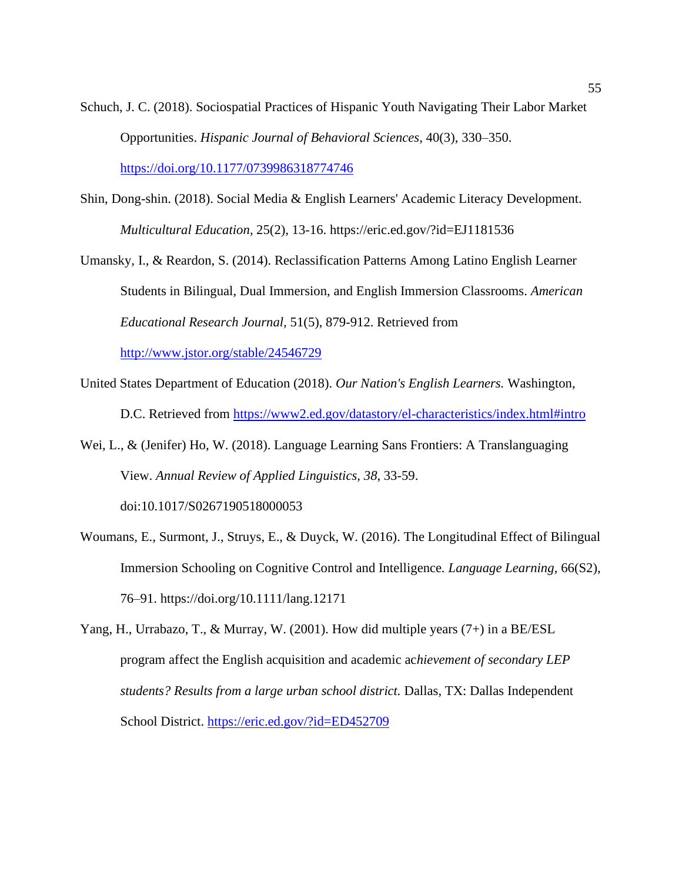Schuch, J. C. (2018). Sociospatial Practices of Hispanic Youth Navigating Their Labor Market Opportunities. *Hispanic Journal of Behavioral Sciences*, 40(3), 330–350. <https://doi.org/10.1177/0739986318774746>

- Shin, Dong-shin. (2018). Social Media & English Learners' Academic Literacy Development. *Multicultural Education,* 25(2), 13-16. https://eric.ed.gov/?id=EJ1181536
- Umansky, I., & Reardon, S. (2014). Reclassification Patterns Among Latino English Learner Students in Bilingual, Dual Immersion, and English Immersion Classrooms. *American Educational Research Journal,* 51(5), 879-912. Retrieved from <http://www.jstor.org/stable/24546729>
- United States Department of Education (2018). *Our Nation's English Learners.* Washington, D.C. Retrieved from<https://www2.ed.gov/datastory/el-characteristics/index.html#intro>
- Wei, L., & (Jenifer) Ho, W. (2018). Language Learning Sans Frontiers: A Translanguaging View. *Annual Review of Applied Linguistics, 38*, 33-59. doi:10.1017/S0267190518000053
- Woumans, E., Surmont, J., Struys, E., & Duyck, W. (2016). The Longitudinal Effect of Bilingual Immersion Schooling on Cognitive Control and Intelligence*. Language Learning*, 66(S2), 76–91. https://doi.org/10.1111/lang.12171
- Yang, H., Urrabazo, T., & Murray, W. (2001). How did multiple years (7+) in a BE/ESL program affect the English acquisition and academic ac*hievement of secondary LEP students? Results from a large urban school district.* Dallas, TX: Dallas Independent School District.<https://eric.ed.gov/?id=ED452709>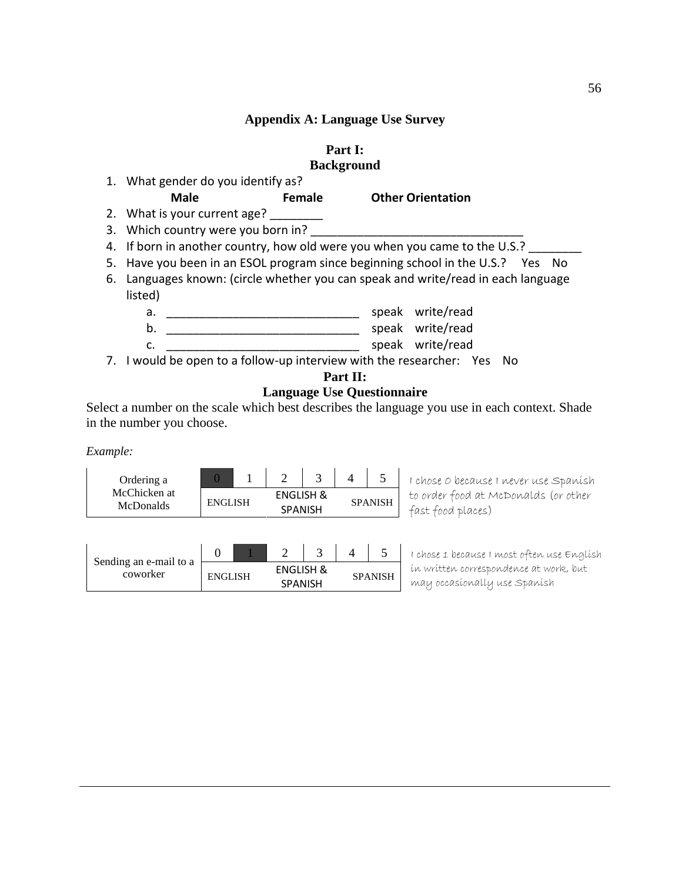## **Appendix A: Language Use Survey**

| ı<br>D<br>Part |  |
|----------------|--|
|                |  |

## **Background**

<span id="page-56-0"></span>

| 1. What gender do you identify as?                                             |               |                                                                                   |  |  |  |  |  |  |
|--------------------------------------------------------------------------------|---------------|-----------------------------------------------------------------------------------|--|--|--|--|--|--|
| <b>Male</b>                                                                    | <b>Female</b> | <b>Other Orientation</b>                                                          |  |  |  |  |  |  |
| 2. What is your current age?                                                   |               |                                                                                   |  |  |  |  |  |  |
| 3. Which country were you born in?                                             |               |                                                                                   |  |  |  |  |  |  |
|                                                                                |               | 4. If born in another country, how old were you when you came to the U.S.?        |  |  |  |  |  |  |
| 5. Have you been in an ESOL program since beginning school in the U.S.? Yes No |               |                                                                                   |  |  |  |  |  |  |
|                                                                                |               | 6. Languages known: (circle whether you can speak and write/read in each language |  |  |  |  |  |  |
| listed)                                                                        |               |                                                                                   |  |  |  |  |  |  |
| a.                                                                             |               | speak write/read                                                                  |  |  |  |  |  |  |
| b.                                                                             |               | speak write/read                                                                  |  |  |  |  |  |  |
| c.                                                                             |               | speak write/read                                                                  |  |  |  |  |  |  |
|                                                                                |               | 7. I would be open to a follow-up interview with the researcher: Yes No           |  |  |  |  |  |  |
|                                                                                |               | Part II:                                                                          |  |  |  |  |  |  |

**Language Use Questionnaire**

Select a number on the scale which best describes the language you use in each context. Shade in the number you choose.

*Example:*

| Ordering a                       |                                                          |  |  |  |                |
|----------------------------------|----------------------------------------------------------|--|--|--|----------------|
| McChicken at<br><b>McDonalds</b> | <b>ENGLISH &amp;</b><br><b>ENGLISH</b><br><b>SPANISH</b> |  |  |  | <b>SPANISH</b> |

| Sending an e-mail to a |                |                                        |  |                |
|------------------------|----------------|----------------------------------------|--|----------------|
| coworker               | <b>ENGLISH</b> | <b>ENGLISH &amp;</b><br><b>SPANISH</b> |  | <b>SPANISH</b> |

I chose 0 because I never use Spanish to order food at McDonalds (or other fast food places)

I chose 1 because I most often use English in written correspondence at work, but may occasionally use Spanish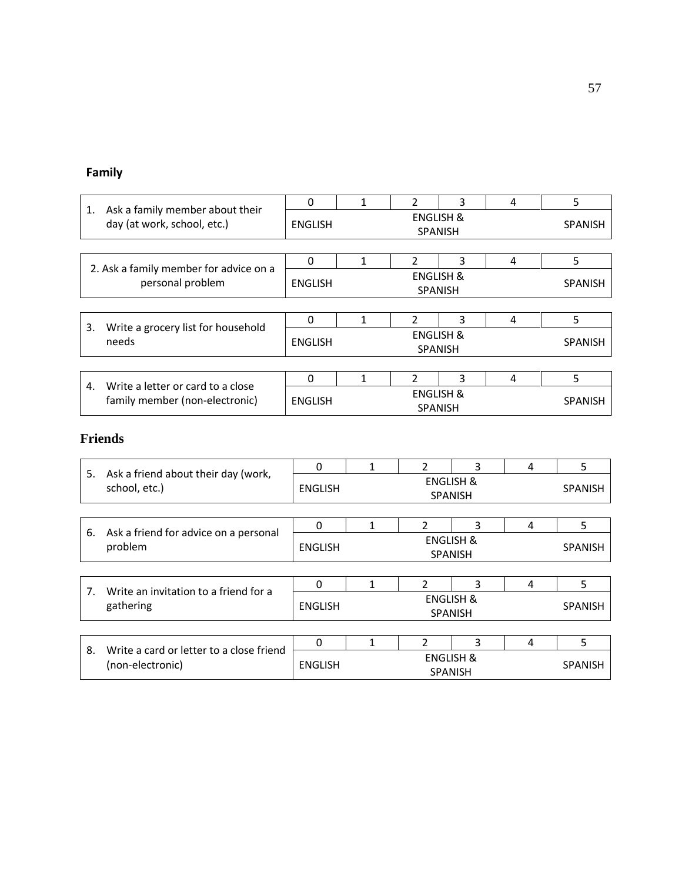# **Family**

|                                                                      | 0                                                        |                                        | $\mathcal{P}$ | 3 | 4 | 5              |  |  |
|----------------------------------------------------------------------|----------------------------------------------------------|----------------------------------------|---------------|---|---|----------------|--|--|
| Ask a family member about their<br>1.<br>day (at work, school, etc.) | ENGLISH                                                  | <b>ENGLISH &amp;</b><br><b>SPANISH</b> |               |   |   |                |  |  |
|                                                                      |                                                          |                                        |               |   |   |                |  |  |
|                                                                      | $\Omega$                                                 | 1                                      | $\mathfrak z$ | 3 | 4 | 5              |  |  |
| 2. Ask a family member for advice on a<br>personal problem           | <b>ENGLISH &amp;</b><br><b>ENGLISH</b><br><b>SPANISH</b> |                                        |               |   |   | <b>SPANISH</b> |  |  |
|                                                                      |                                                          |                                        |               |   |   |                |  |  |
| 3.                                                                   | 0                                                        |                                        |               | 3 | 4 | 5              |  |  |
| Write a grocery list for household<br>needs                          | <b>ENGLISH &amp;</b><br><b>ENGLISH</b><br><b>SPANISH</b> |                                        |               |   |   | <b>SPANISH</b> |  |  |
|                                                                      |                                                          |                                        |               |   |   |                |  |  |
| Write a letter or card to a close<br>4.                              | $\Omega$                                                 |                                        |               | 3 | 4 | 5              |  |  |
| family member (non-electronic)                                       | <b>ENGLISH &amp;</b><br><b>ENGLISH</b><br><b>SPANISH</b> |                                        |               |   |   | <b>SPANISH</b> |  |  |

# **Friends**

|                                                            |                                                              | $\Omega$       |                                        | $\mathcal{P}$  | 3                                      | 4 | 5              |
|------------------------------------------------------------|--------------------------------------------------------------|----------------|----------------------------------------|----------------|----------------------------------------|---|----------------|
| Ask a friend about their day (work,<br>5.<br>school, etc.) |                                                              | <b>ENGLISH</b> | ENGLISH &<br><b>SPANISH</b>            |                |                                        |   |                |
|                                                            |                                                              |                |                                        |                |                                        |   |                |
|                                                            |                                                              | 0              |                                        | $\mathcal{P}$  | 3                                      | 4 | 5              |
| Ask a friend for advice on a personal<br>6.<br>problem     |                                                              | <b>ENGLISH</b> | <b>ENGLISH &amp;</b><br><b>SPANISH</b> |                |                                        |   |                |
|                                                            |                                                              |                |                                        |                |                                        |   |                |
| 7 <sub>1</sub>                                             | Write an invitation to a friend for a                        | 0              |                                        | $\mathcal{P}$  | 3                                      | 4 | 5              |
|                                                            | gathering                                                    | <b>ENGLISH</b> |                                        |                | <b>ENGLISH &amp;</b><br><b>SPANISH</b> |   | <b>SPANISH</b> |
|                                                            |                                                              |                |                                        |                |                                        |   |                |
|                                                            | Write a card or letter to a close friend<br>(non-electronic) | $\Omega$       |                                        | $\mathfrak{p}$ | 3                                      | 4 | 5              |
| 8.                                                         |                                                              | <b>ENGLISH</b> |                                        | <b>SPANISH</b> | <b>ENGLISH &amp;</b>                   |   | <b>SPANISH</b> |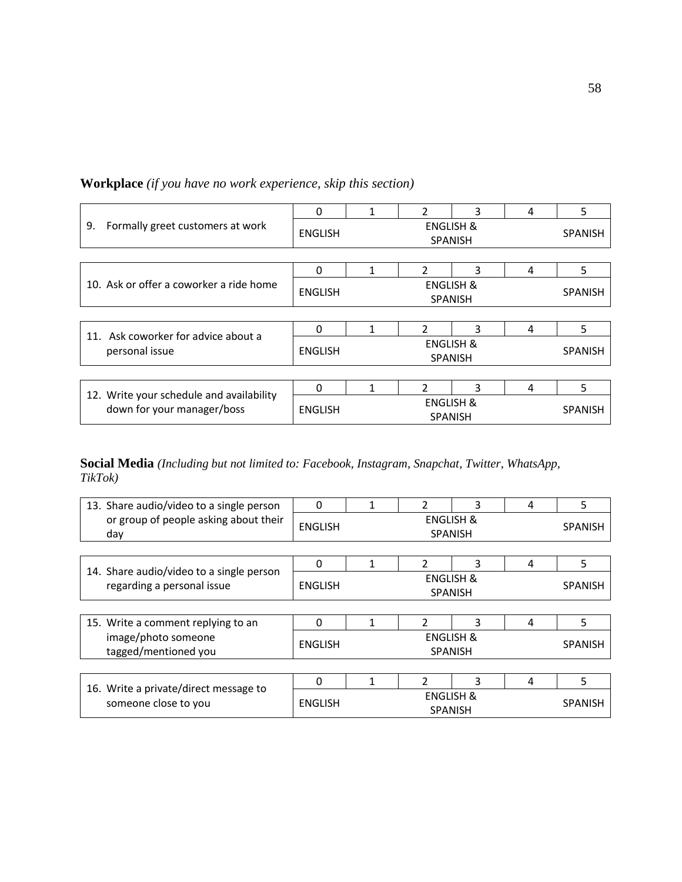|                                                                        | $\Omega$                                          |                                        | $\mathcal{P}$  | 3              | 4 | 5              |
|------------------------------------------------------------------------|---------------------------------------------------|----------------------------------------|----------------|----------------|---|----------------|
| 9.<br>Formally greet customers at work                                 | <b>ENGLISH</b>                                    | <b>ENGLISH &amp;</b><br><b>SPANISH</b> |                |                |   |                |
|                                                                        |                                                   |                                        |                |                |   |                |
|                                                                        | $\Omega$                                          | 1                                      | $\mathfrak{p}$ | 3              | 4 | 5              |
| 10. Ask or offer a coworker a ride home                                | <b>ENGLISH</b>                                    |                                        |                | <b>SPANISH</b> |   |                |
|                                                                        |                                                   |                                        |                |                |   |                |
| Ask coworker for advice about a                                        | $\Omega$                                          | 1                                      | $\mathfrak{p}$ | 3              | 4 | 5.             |
| 11.<br>personal issue                                                  | <b>ENGLISH &amp;</b><br>ENGLISH<br><b>SPANISH</b> |                                        |                |                |   | <b>SPANISH</b> |
|                                                                        |                                                   |                                        |                |                |   |                |
|                                                                        | $\Omega$                                          | 1                                      | $\mathcal{P}$  | 3              | 4 | 5              |
| 12. Write your schedule and availability<br>down for your manager/boss | <b>ENGLISH</b>                                    | <b>ENGLISH &amp;</b><br><b>SPANISH</b> |                |                |   | <b>SPANISH</b> |

## **Workplace** *(if you have no work experience, skip this section)*

**Social Media** *(Including but not limited to: Facebook, Instagram, Snapchat, Twitter, WhatsApp, TikTok)*

| 13. Share audio/video to a single person                               | $\Omega$                                                 |   | $\mathfrak{p}$              | 3                                      | 4 | 5              |  |
|------------------------------------------------------------------------|----------------------------------------------------------|---|-----------------------------|----------------------------------------|---|----------------|--|
| or group of people asking about their<br>day                           | <b>ENGLISH</b>                                           |   |                             | <b>ENGLISH &amp;</b><br><b>SPANISH</b> |   | <b>SPANISH</b> |  |
|                                                                        |                                                          |   |                             |                                        |   |                |  |
| 14. Share audio/video to a single person<br>regarding a personal issue | $\Omega$                                                 |   | $\mathcal{P}$               | 3                                      | 4 | 5              |  |
|                                                                        | <b>ENGLISH</b>                                           |   |                             | <b>SPANISH</b>                         |   |                |  |
|                                                                        |                                                          |   |                             |                                        |   |                |  |
| 15. Write a comment replying to an                                     | $\Omega$                                                 | 1 | $\mathfrak{p}$              | 3                                      | 4 | 5              |  |
| image/photo someone<br>tagged/mentioned you                            | <b>ENGLISH</b>                                           |   | ENGLISH &<br><b>SPANISH</b> |                                        |   |                |  |
|                                                                        |                                                          |   |                             |                                        |   |                |  |
|                                                                        | $\Omega$                                                 | 1 | $\mathfrak{p}$              | 3                                      | 4 | 5              |  |
| 16. Write a private/direct message to<br>someone close to you          | <b>ENGLISH &amp;</b><br><b>ENGLISH</b><br><b>SPANISH</b> |   |                             |                                        |   | <b>SPANISH</b> |  |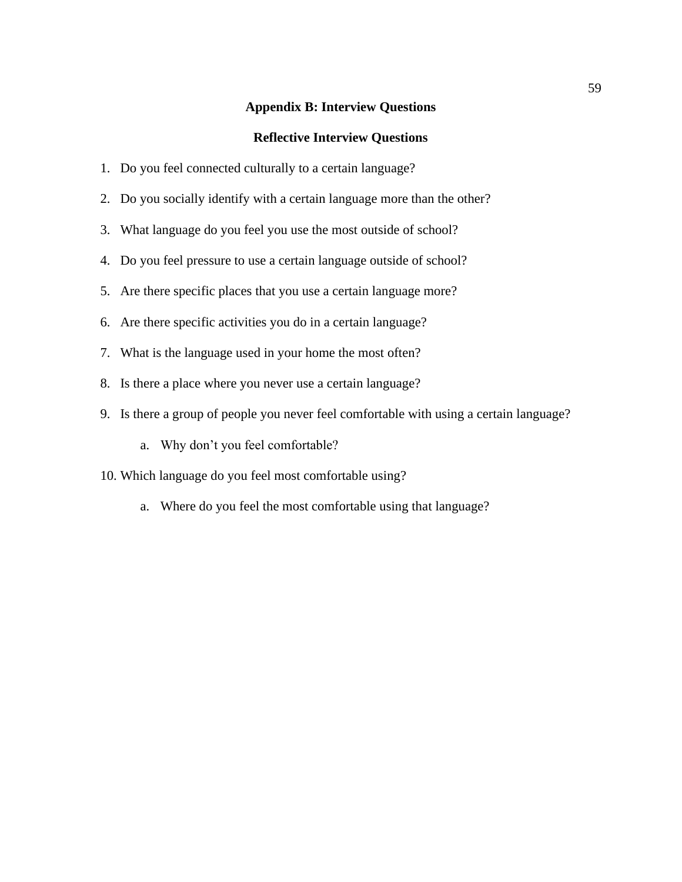## **Appendix B: Interview Questions**

## **Reflective Interview Questions**

- <span id="page-59-0"></span>1. Do you feel connected culturally to a certain language?
- 2. Do you socially identify with a certain language more than the other?
- 3. What language do you feel you use the most outside of school?
- 4. Do you feel pressure to use a certain language outside of school?
- 5. Are there specific places that you use a certain language more?
- 6. Are there specific activities you do in a certain language?
- 7. What is the language used in your home the most often?
- 8. Is there a place where you never use a certain language?
- 9. Is there a group of people you never feel comfortable with using a certain language?
	- a. Why don't you feel comfortable?
- 10. Which language do you feel most comfortable using?
	- a. Where do you feel the most comfortable using that language?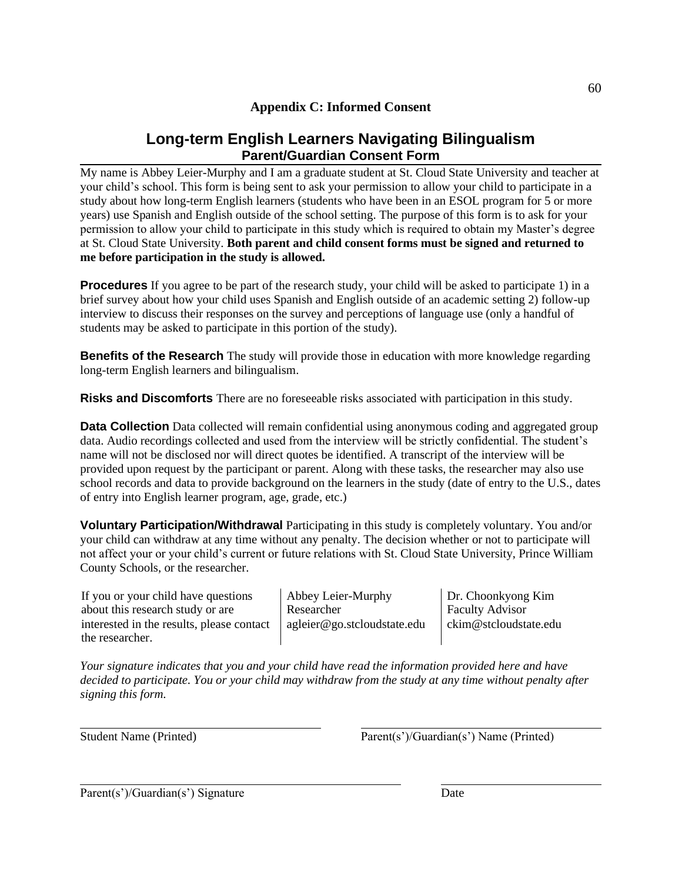## **Appendix C: Informed Consent**

## **Long-term English Learners Navigating Bilingualism Parent/Guardian Consent Form**

<span id="page-60-0"></span>My name is Abbey Leier-Murphy and I am a graduate student at St. Cloud State University and teacher at your child's school. This form is being sent to ask your permission to allow your child to participate in a study about how long-term English learners (students who have been in an ESOL program for 5 or more years) use Spanish and English outside of the school setting. The purpose of this form is to ask for your permission to allow your child to participate in this study which is required to obtain my Master's degree at St. Cloud State University. **Both parent and child consent forms must be signed and returned to me before participation in the study is allowed.**

**Procedures** If you agree to be part of the research study, your child will be asked to participate 1) in a brief survey about how your child uses Spanish and English outside of an academic setting 2) follow-up interview to discuss their responses on the survey and perceptions of language use (only a handful of students may be asked to participate in this portion of the study).

**Benefits of the Research** The study will provide those in education with more knowledge regarding long-term English learners and bilingualism.

**Risks and Discomforts** There are no foreseeable risks associated with participation in this study.

**Data Collection** Data collected will remain confidential using anonymous coding and aggregated group data. Audio recordings collected and used from the interview will be strictly confidential. The student's name will not be disclosed nor will direct quotes be identified. A transcript of the interview will be provided upon request by the participant or parent. Along with these tasks, the researcher may also use school records and data to provide background on the learners in the study (date of entry to the U.S., dates of entry into English learner program, age, grade, etc.)

**Voluntary Participation/Withdrawal** Participating in this study is completely voluntary. You and/or your child can withdraw at any time without any penalty. The decision whether or not to participate will not affect your or your child's current or future relations with St. Cloud State University, Prince William County Schools, or the researcher.

If you or your child have questions about this research study or are interested in the results, please contact the researcher.

Abbey Leier-Murphy Researcher agleier@go.stcloudstate.edu Dr. Choonkyong Kim Faculty Advisor ckim@stcloudstate.edu

*Your signature indicates that you and your child have read the information provided here and have decided to participate. You or your child may withdraw from the study at any time without penalty after signing this form.*

Student Name (Printed) Parent(s')/Guardian(s') Name (Printed)

Parent(s')/Guardian(s') Signature Date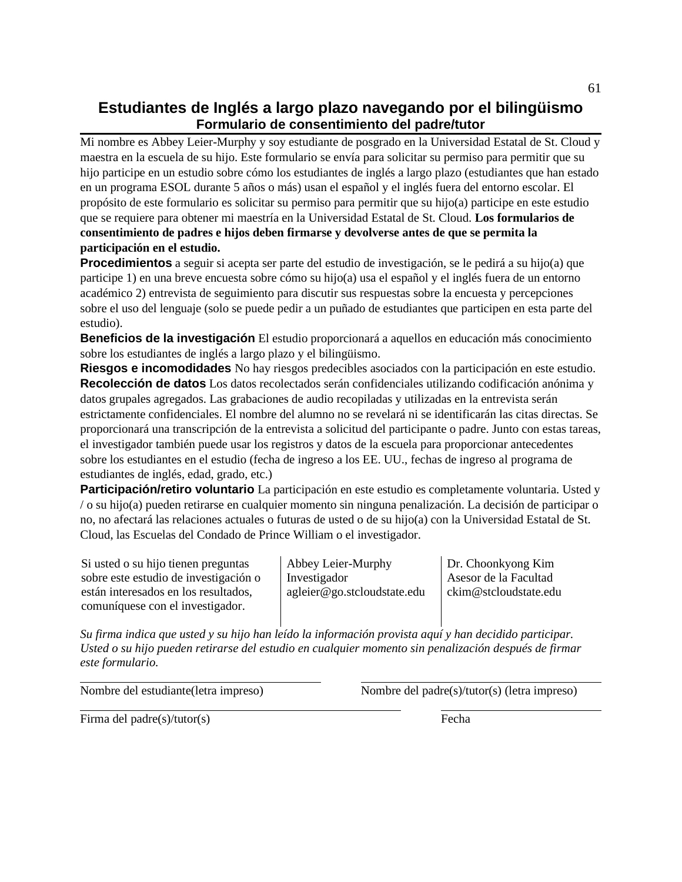## **Estudiantes de Inglés a largo plazo navegando por el bilingüismo Formulario de consentimiento del padre/tutor**

Mi nombre es Abbey Leier-Murphy y soy estudiante de posgrado en la Universidad Estatal de St. Cloud y maestra en la escuela de su hijo. Este formulario se envía para solicitar su permiso para permitir que su hijo participe en un estudio sobre cómo los estudiantes de inglés a largo plazo (estudiantes que han estado en un programa ESOL durante 5 años o más) usan el español y el inglés fuera del entorno escolar. El propósito de este formulario es solicitar su permiso para permitir que su hijo(a) participe en este estudio que se requiere para obtener mi maestría en la Universidad Estatal de St. Cloud. **Los formularios de consentimiento de padres e hijos deben firmarse y devolverse antes de que se permita la participación en el estudio.**

**Procedimientos** a seguir si acepta ser parte del estudio de investigación, se le pedirá a su hijo(a) que participe 1) en una breve encuesta sobre cómo su hijo(a) usa el español y el inglés fuera de un entorno académico 2) entrevista de seguimiento para discutir sus respuestas sobre la encuesta y percepciones sobre el uso del lenguaje (solo se puede pedir a un puñado de estudiantes que participen en esta parte del estudio).

**Beneficios de la investigación** El estudio proporcionará a aquellos en educación más conocimiento sobre los estudiantes de inglés a largo plazo y el bilingüismo.

**Riesgos e incomodidades** No hay riesgos predecibles asociados con la participación en este estudio. **Recolección de datos** Los datos recolectados serán confidenciales utilizando codificación anónima y datos grupales agregados. Las grabaciones de audio recopiladas y utilizadas en la entrevista serán estrictamente confidenciales. El nombre del alumno no se revelará ni se identificarán las citas directas. Se proporcionará una transcripción de la entrevista a solicitud del participante o padre. Junto con estas tareas, el investigador también puede usar los registros y datos de la escuela para proporcionar antecedentes sobre los estudiantes en el estudio (fecha de ingreso a los EE. UU., fechas de ingreso al programa de estudiantes de inglés, edad, grado, etc.)

**Participación/retiro voluntario** La participación en este estudio es completamente voluntaria. Usted y / o su hijo(a) pueden retirarse en cualquier momento sin ninguna penalización. La decisión de participar o no, no afectará las relaciones actuales o futuras de usted o de su hijo(a) con la Universidad Estatal de St. Cloud, las Escuelas del Condado de Prince William o el investigador.

Si usted o su hijo tienen preguntas sobre este estudio de investigación o están interesados en los resultados, comuníquese con el investigador.

Abbey Leier-Murphy Investigador agleier@go.stcloudstate.edu Dr. Choonkyong Kim Asesor de la Facultad ckim@stcloudstate.edu

*Su firma indica que usted y su hijo han leído la información provista aquí y han decidido participar. Usted o su hijo pueden retirarse del estudio en cualquier momento sin penalización después de firmar este formulario.*

Nombre del estudiante(letra impreso) Nombre del padre(s)/tutor(s) (letra impreso)

Firma del padre(s)/tutor(s) Fecha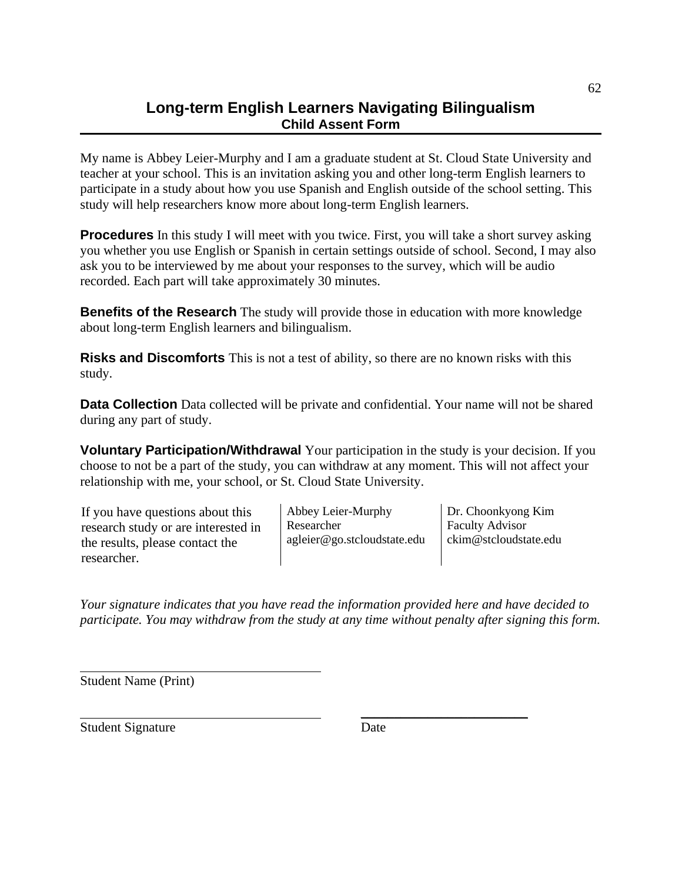# **Long-term English Learners Navigating Bilingualism Child Assent Form**

My name is Abbey Leier-Murphy and I am a graduate student at St. Cloud State University and teacher at your school. This is an invitation asking you and other long-term English learners to participate in a study about how you use Spanish and English outside of the school setting. This study will help researchers know more about long-term English learners.

**Procedures** In this study I will meet with you twice. First, you will take a short survey asking you whether you use English or Spanish in certain settings outside of school. Second, I may also ask you to be interviewed by me about your responses to the survey, which will be audio recorded. Each part will take approximately 30 minutes.

**Benefits of the Research** The study will provide those in education with more knowledge about long-term English learners and bilingualism.

**Risks and Discomforts** This is not a test of ability, so there are no known risks with this study.

**Data Collection** Data collected will be private and confidential. Your name will not be shared during any part of study.

**Voluntary Participation/Withdrawal** Your participation in the study is your decision. If you choose to not be a part of the study, you can withdraw at any moment. This will not affect your relationship with me, your school, or St. Cloud State University.

If you have questions about this research study or are interested in the results, please contact the researcher.

Abbey Leier-Murphy Researcher agleier@go.stcloudstate.edu Dr. Choonkyong Kim Faculty Advisor ckim@stcloudstate.edu

*Your signature indicates that you have read the information provided here and have decided to participate. You may withdraw from the study at any time without penalty after signing this form.*

Student Name (Print)

Student Signature Date

 $\overline{\phantom{a}}$  , where  $\overline{\phantom{a}}$  , where  $\overline{\phantom{a}}$  , where  $\overline{\phantom{a}}$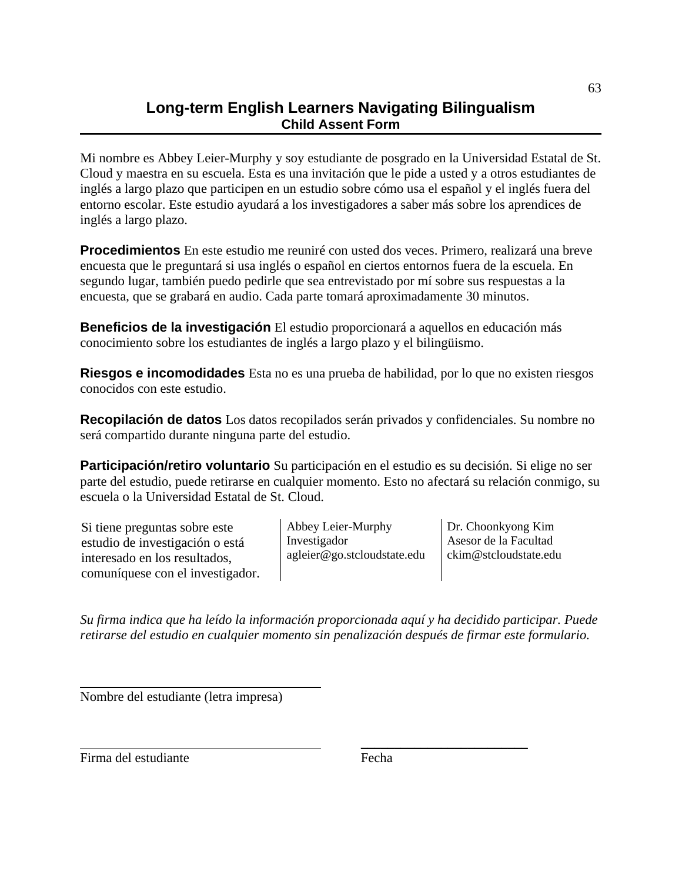# **Long-term English Learners Navigating Bilingualism Child Assent Form**

Mi nombre es Abbey Leier-Murphy y soy estudiante de posgrado en la Universidad Estatal de St. Cloud y maestra en su escuela. Esta es una invitación que le pide a usted y a otros estudiantes de inglés a largo plazo que participen en un estudio sobre cómo usa el español y el inglés fuera del entorno escolar. Este estudio ayudará a los investigadores a saber más sobre los aprendices de inglés a largo plazo.

**Procedimientos** En este estudio me reuniré con usted dos veces. Primero, realizará una breve encuesta que le preguntará si usa inglés o español en ciertos entornos fuera de la escuela. En segundo lugar, también puedo pedirle que sea entrevistado por mí sobre sus respuestas a la encuesta, que se grabará en audio. Cada parte tomará aproximadamente 30 minutos.

**Beneficios de la investigación** El estudio proporcionará a aquellos en educación más conocimiento sobre los estudiantes de inglés a largo plazo y el bilingüismo.

**Riesgos e incomodidades** Esta no es una prueba de habilidad, por lo que no existen riesgos conocidos con este estudio.

**Recopilación de datos** Los datos recopilados serán privados y confidenciales. Su nombre no será compartido durante ninguna parte del estudio.

**Participación/retiro voluntario** Su participación en el estudio es su decisión. Si elige no ser parte del estudio, puede retirarse en cualquier momento. Esto no afectará su relación conmigo, su escuela o la Universidad Estatal de St. Cloud.

Si tiene preguntas sobre este estudio de investigación o está interesado en los resultados, comuníquese con el investigador. Abbey Leier-Murphy Investigador agleier@go.stcloudstate.edu

Dr. Choonkyong Kim Asesor de la Facultad ckim@stcloudstate.edu

*Su firma indica que ha leído la información proporcionada aquí y ha decidido participar. Puede retirarse del estudio en cualquier momento sin penalización después de firmar este formulario.*

Nombre del estudiante (letra impresa)

<span id="page-63-0"></span>Firma del estudiante en el proponer establecer en el proponer el proponer el proponer el proponer el proponer

 $\_$